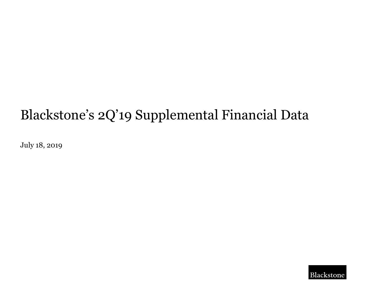# Blackstone's 2Q'19 Supplemental Financial Data

July 18, 2019

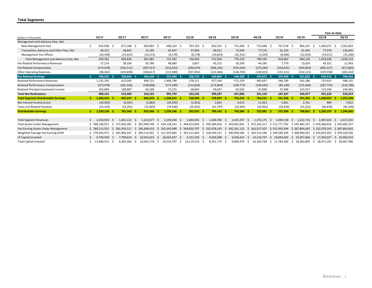#### **Total Segments**

|                                             |                  |                        |                   |                       |                             |                   |                   |                   |                  |                            | Year-to-Date     |                  |
|---------------------------------------------|------------------|------------------------|-------------------|-----------------------|-----------------------------|-------------------|-------------------|-------------------|------------------|----------------------------|------------------|------------------|
| (Dollars in Thousands)                      | 1Q'17            | 2Q'17                  | 3Q'17             | 4Q'17                 | 1Q'18                       | 2Q'18             | 3Q'18             | 4Q'18             | 1Q'19            | 2Q'19                      | 2Q'18            | 2Q'19            |
| Management and Advisory Fees, Net           |                  |                        |                   |                       |                             |                   |                   |                   |                  |                            |                  |                  |
| <b>Base Management Fees</b>                 | 642,958 \$<br>Ŝ. | 671,368 \$             | 669,902 \$        | 696,163 \$            | 707,156 \$                  | 692,915 \$        | 721,606 \$        | 722,648 \$        | 757,518 \$       | 805,315                    | 1,400,071<br>.s  | 1,562,833<br>-S  |
| Transaction, Advisory and Other Fees, Net   | 40,222           | 38,892                 | 32,295            | 45,407                | 37,066                      | 40,912            | 73,944            | 77,576            | 65,150           | 61,495                     | 77,978           | 126,645          |
| Management Fee Offsets                      | (33, 599)        | (13, 424)              | (10, 215)         | (9, 178)              | (8, 178)                    | (10, 833)         | (16, 331)         | (2,029)           | (8,606)          | (22, 654)                  | (19, 011)        | (31, 260)        |
| Total Management and Advisory Fees, Net     | 649,581          | 696,836                | 691,982           | 732,392               | 736,044                     | 722,994           | 779,219           | 798,195           | 814,062          | 844,156                    | 1,459,038        | 1,658,218        |
| Fee Related Performance Revenues            | 27,214           | 28,356                 | 65,786            | 48,089                | 3,837                       | 45,515            | 30,299            | 44,185            | 7,779            | 13,624                     | 49,352           | 21,403           |
| Fee Related Compensation                    | (274, 078)       | (292, 511)             | (307, 017)        | (312,033)             | (296, 074)                  | (306, 243)        | (334, 545)        | (279, 284)        | (324, 031)       | (293, 834)                 | (602, 317)       | (617, 865)       |
| <b>Other Operating Expenses</b>             | (96, 462)        | (105, 838)             | (106, 617)        | (115, 949)            | (107,092)                   | (122, 466)        | (128, 745)        | (130, 025)        | (123, 311)       | (142, 121)                 | (229, 558)       | (265, 432)       |
| <b>Fee Related Earnings</b>                 | 306,255          | 326,843 \$<br>- S      | 344,134           | 352,499 \$<br>- S     | 336,715 \$                  | 339,800 \$        | 346,228 \$        | 433,071 \$        | 374,499          | 421,825 \$                 | $676,515$ \$     | 796,324          |
| <b>Realized Performance Revenues</b>        | 1,131,245        | 615,043                | 404,721           | 1,496,798             | 278,371                     | 477,544           | 572,159           | 483,697           | 246,769          | 341,386                    | 755,915          | 588,155          |
| Realized Performance Compensation           | (373, 978)       | (201, 526)             | (148, 808)        | (573, 299)            | (114, 829)                  | (172, 894)        | (190, 773)        | (199, 645)        | (85, 240)        | (125, 466)                 | (287, 723)       | (210, 706)       |
| Realized Principal Investment Income        | 202,894          | 100,887                | 60,188            | 72,225                | 28,693                      | 94,647            | 65,620            | 47,098            | 25,908           | 123,557                    | 123,340          | 149,465          |
| <b>Total Net Realizations</b>               | 960,161          | 514,404                | 316,101           | 995,724               | 192,235                     | 399,297           | 447,006           | 331,150           | 187,437          | 339,477                    | 591,532          | 526,914          |
| <b>Total Segment Distributable Earnings</b> | 1,266,416        | 841,247                | 660,235<br>-5     | 1,348,223<br>- S      | 528,950 \$                  | 739,097           | 793,234<br>- S    | 764,221           | 561,936          | 761,302                    | 1,268,047        | 1,323,238        |
| Net Interest Income (Loss)                  | (10, 954)        | (6, 591)               | (2,864)           | (29, 509)             | (1,853)                     | 2,842             | 9,013             | 11,923            | 5,061            | 2,761                      | 989              | 7,822            |
| <b>Taxes and Related Payables</b>           | (25, 324)        | (53, 291)              | (31, 805)         | (79, 568)             | (25, 042)                   | (41, 797)         | (32, 963)         | (54,063)          | (29, 039)        | (55, 201)                  | (66, 839)        | (84, 240)        |
| <b>Distributable Earnings</b>               | $1,230,138$ \$   | 781,365 \$             | 625,566           | 1,239,146 \$          | 502,055 \$                  | 700,142 \$        | 769,284 \$        | 722,081 \$        | 537,958          | 708,862                    | 1,202,197        | 1,246,820        |
|                                             |                  |                        |                   |                       |                             |                   |                   |                   |                  |                            |                  |                  |
| <b>Total Segment Revenues</b>               | 2.010.934        | 1.441.122<br>-S        | 1.222.677<br>-S   | 2.349.504<br>-S       | 1.046.945<br>-S             | 1.340.700<br>-S   | 1.447.297<br>-S   | 1.373.175<br>-S   | 1.094.518<br>-S  | 1.322.723<br><sub>S</sub>  | 2.387.645<br>-S  | 2,417,241<br>-S  |
| <b>Total Assets Under Management</b>        | \$368.196.917    | 371.056.281<br>S       | -S<br>387.449.746 | 434.128.243<br>-S     | 449.613.826<br>S            | -S<br>439.386.656 | 456.691.832<br>-S | -S<br>472,242,317 | \$511,777,762    | \$545.482.337              | 439.386.656      | \$545,482,337    |
| Fee-Earning Assets Under Management         | \$280.215.551    | 281,934,511<br>S.      | 285.698.425<br>S. | 335.343.998<br>S.     | 344.650.797<br><sub>S</sub> | S.<br>332.978.145 | 342.261.123<br>S. | 342.527.507<br>S. | \$352,993,394    | \$387,864,642              | \$332,978.145    | \$387,864,642    |
| Weighted-Average Fee-Earning AUM            | \$279.582.971    | .966.547<br>-281<br>S. | 284.114.581<br>-S | .353.064<br>-S<br>311 | 343.211.044<br>S            | 328,594,512<br>S. | 340.994.284<br>S. | 343.514.196<br>S. | 349.589.269<br>S | \$368,900.952              | \$334.643.503    | \$359,104,556    |
| LP Capital Invested                         | 9.709.930        | 7,799,624              | 10,043,022<br>-S  | 18,663,837<br>-S      | 9,323,329                   | 8,026,698<br>-S   | 9,358,423<br>-S   | 14.218.797<br>-S  | S<br>10,844,363  | 15,057,660<br><sub>S</sub> | 17,350,027<br>S. | 25,902,023<br>S  |
| <b>Total Capital Invested</b>               | 11,840,913       | 8,382,583              | 10.925.170<br>-S  | 19,529,797<br>-S      | 10,119,519<br>s             | 8,351,772<br>-S   | 9,894,470<br>- S  | 16,349,738<br>- S | \$11,783,583     | 18.283.803<br>S.           | 18.471.291<br>-S | 30,067,386<br>S. |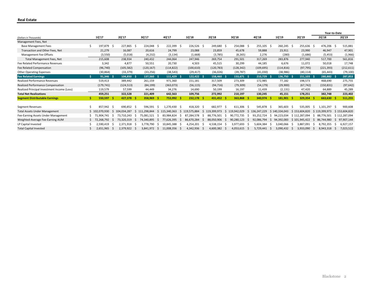#### **Real Estate**

|                                             |   |               |              |             |     |                |    |            |     |               |     |            |          |                      |            |              |             |    |               |    | Year-to-Date |              |               |
|---------------------------------------------|---|---------------|--------------|-------------|-----|----------------|----|------------|-----|---------------|-----|------------|----------|----------------------|------------|--------------|-------------|----|---------------|----|--------------|--------------|---------------|
| (Dollars in Thousands)                      |   | 1Q'17         |              | 2Q'17       |     | 3Q'17          |    | 4Q'17      |     | 1Q'18         |     | 2Q'18      |          | 3Q'18                | 4Q'18      |              | 1Q'19       |    | 2Q'19         |    | 2Q'18        |              | 2Q'19         |
| Management Fees, Net                        |   |               |              |             |     |                |    |            |     |               |     |            |          |                      |            |              |             |    |               |    |              |              |               |
| <b>Base Management Fees</b>                 | s | 197,879       | -S           | 227,865 \$  |     | 224,048 \$     |    | 222,399 \$ |     | 226,526 \$    |     | 249,680 \$ |          | 254,088 \$           | 255,105 \$ |              | 260,245 \$  |    | 255,636 \$    |    | 476,206 \$   |              | 515,881       |
| Transaction and Other Fees, Net             |   | 21,279        |              | 16,087      |     | 20,616         |    | 24,799     |     | 23,088        |     | 23,859     |          | 45,678               | 59,888     |              | 23,911      |    | 23,990        |    | 46,947       |              | 47,901        |
| Management Fee Offsets                      |   | (3,550)       |              | (5,018)     |     | (4, 232)       |    | (3, 134)   |     | (1,668)       |     | (3,785)    |          | (8, 265)             | 2,276      |              | (280)       |    | (1,686)       |    | (5, 453)     |              | (1,966)       |
| Total Management Fees, Net                  |   | 215,608       |              | 238,934     |     | 240,432        |    | 244,064    |     | 247,946       |     | 269,754    |          | 291,501              | 317,269    |              | 283,876     |    | 277,940       |    | 517,700      |              | 561,816       |
| Fee Related Performance Revenues            |   | 3,342         |              | 4,877       |     | 50,551         |    | 20,730     |     | 4,503         |     | 45,515     |          | 30,299               | 44,185     |              | 6,676       |    | 11,072        |    | 50,018       |              | 17,748        |
| Fee Related Compensation                    |   | (96, 740)     |              | (105, 582)  |     | (120, 167)     |    | (114, 822) |     | (100, 610)    |     | (120, 783) |          | (128, 342)           | (109, 695) |              | (114, 816)  |    | (97, 795)     |    | (221, 393)   |              | (212, 611)    |
| <b>Other Operating Expenses</b>             |   | (30, 864)     |              | (33, 379)   |     | (33, 256)      |    | (38, 543)  |     | (29, 417)     |     | (36,026)   |          | (39, 787)            | (41,030)   |              | (38, 986)   |    | (40, 114)     |    | (65, 443)    |              | (79, 100)     |
| <b>Fee Related Earnings</b>                 |   | 91,346        |              | 104,850     | - S | 137,560        |    | 111,429    | - S | 122,422       | - S | 158,460 \$ |          | 153,671<br>- S       | 210,729    |              | 136,750     |    | 151,103       |    | 280,882 \$   |              | 287,853       |
| Realized Performance Revenues               |   | 519,413       |              | 389,442     |     | 261,159        |    | 971,360    |     | 151,181       |     | 317,509    |          | 273,309              | 172,985    |              | 77,182      |    | 198,573       |    | 468,690      |              | 275,755       |
| Realized Performance Compensation           |   | (179, 741)    |              | (124, 513)  |     | (84, 199)      |    | (363,073)  |     | (56, 115)     |     | (94, 716)  |          | (79, 309)            | (54, 179)  |              | (29,900)    |    | (67, 742)     |    | (150, 831)   |              | (97, 642)     |
| Realized Principal Investment Income (Loss) |   | 119,579       |              | 57,599      |     | 44,449         |    | 34,276     |     | 14,690        |     | 50,199     |          | 16,197               | 11,439     |              | (2, 131)    |    | 47,420        |    | 64,889       |              | 45,289        |
| <b>Total Net Realizations</b>               |   | 459,251       |              | 322,528     |     | 221,409        |    | 642,563    |     | 109,756       |     | 272,992    |          | 210,197              | 130,245    |              | 45,151      |    | 178,251       |    | 382,748      |              | 223,402       |
| <b>Segment Distributable Earnings</b>       |   | 550,597       |              | 427,378 \$  |     | 358,969        |    | 753,992    | - S | 232,178       | - S | 431,452 \$ |          | 363,868 \$           | 340,974 \$ |              | 181,901     |    | 329,354       |    | 663,630      |              | 511,255       |
|                                             |   |               |              |             |     |                |    |            |     |               |     |            |          |                      |            |              |             |    |               |    |              |              |               |
| Segment Revenues                            |   | 857.942       | -S           | 690,852     | -S  | 596,591        | -S | 1,270,430  | - S | 418,320       | -S  | 682,977    | -S       | $611,306$ \$         | 545,878 \$ |              | 365,603     | -S | 535,005       | -S | 1,101,297    |              | 900,608       |
| <b>Total Assets Under Management</b>        |   | \$102.070.930 | <sub>S</sub> | 104.034.287 | S   | .298.844       | S  | 15,340,363 |     | 19.575.884    | \$  | 19.399.973 |          | 19,942,029<br>Ŝ      | 36,247,229 | S            | 140.334.043 |    | \$153,604,820 |    | 119.399.973  |              | \$153,604,820 |
| Fee-Earning Assets Under Management         |   | 71,904,741    | -5           | 73.710.243  | -S  | .521<br>75.08: | -S | 83.984.824 | -S  | 284.578<br>87 | -S  | 776.501    | S        | 772.735<br>90.<br>-S | 93.252.724 | S            | 94.223.034  |    | \$112.287.094 |    | 88.776.501   |              | \$112,287,094 |
| Weighted-Average Fee-Earning AUM            |   | 72,268,792    | -S           | 73.320.319  | -S  | 74.340.895     | -S | 77.626.395 | -S  | 86.670.284    | -S  | 88.050.906 | <b>S</b> | 90.280.123<br>-S     | 92.086.794 | <sub>S</sub> | 94.392.083  |    | \$101.945.422 |    | 86.744.980   | <sub>S</sub> | 97,907,144    |
| LP Capital Invested                         |   | 2,590,419     |              | 2,371,918   | -S  | 3.778.790      | -S | 10.845.388 | -S  | 4,254,201     | -S  | 4,538,154  | .S       | 3.977.693<br>S       | 5,604,384  | -S           | 3.040.066   | 5  | 3.887.091     |    | 8,792,355    |              | 6,927,157     |
| <b>Total Capital Invested</b>               |   | 2,651,965 \$  |              | 2,379,922   | - S | 3,841,972 \$   |    | 11,008,356 | - S | 4,342,936 \$  |     | 4,600,382  | - S      | $4,053,615$ \$       | 5,729,441  | -S           | 3,090,432   | -S | 3,933,090     |    | 8,943,318    | -S           | 7,023,522     |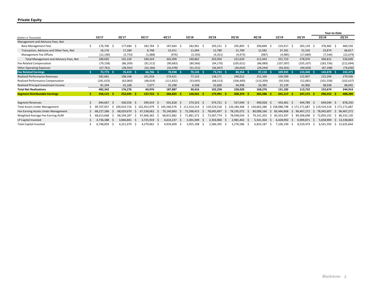#### **Private Equity**

|                                           |    |             |     |            |     |                |    |                            |              |               |    |             |     |                  |   |             |     |                |     |               |     | Year-to-Date  |              |               |
|-------------------------------------------|----|-------------|-----|------------|-----|----------------|----|----------------------------|--------------|---------------|----|-------------|-----|------------------|---|-------------|-----|----------------|-----|---------------|-----|---------------|--------------|---------------|
| (Dollars in Thousands)                    |    | 1Q'17       |     | 2Q'17      |     | 3Q'17          |    | 4Q'17                      |              | 1Q'18         |    | 2Q'18       |     | 3Q'18            |   | 4Q'18       |     | 1Q'19          |     | 2Q'19         |     | 2Q'18         |              | 2Q'19         |
| Management and Advisory Fees, Net         |    |             |     |            |     |                |    |                            |              |               |    |             |     |                  |   |             |     |                |     |               |     |               |              |               |
| <b>Base Management Fees</b>               |    | 176,706     | - S | 177,684    | - S | 182,764        | -S | 187,664<br>- S             |              | 182,961 \$    |    | 195,521 \$  |     | 205,893<br>- S   |   | 200,848     | - 5 | 219,417        | - 5 | 265,139 \$    |     | 378,482 \$    |              | 484,556       |
| Transaction, Advisory and Other Fees, Net |    | 16,176      |     | 17,289     |     | 8,748          |    | 15,411                     |              | 11,094        |    | 12,780      |     | 21,709           |   | 12,582      |     | 37,291         |     | 31,526        |     | 23,874        |              | 68,817        |
| Management Fee Offsets                    |    | (12, 190)   |     | (3,753)    |     | (1,088)        |    | (976)                      |              | (3, 193)      |    | (4, 351)    |     | (4, 973)         |   | (987)       |     | (4,985)        |     | (17, 689)     |     | (7, 544)      |              | (22, 674)     |
| Total Management and Advisory Fees, Net   |    | 180,692     |     | 191,220    |     | 190,424        |    | 202,099                    |              | 190,862       |    | 203,950     |     | 222,629          |   | 212,443     |     | 251,723        |     | 278,976       |     | 394,812       |              | 530,699       |
| Fee Related Compensation                  |    | (79, 158)   |     | (86, 209)  |     | (91, 512)      |    | (90, 683)                  |              | (89, 566)     |    | (94, 170)   |     | (105, 621)       |   | (86,089)    |     | (107, 587)     |     | (105, 107)    |     | (183, 736)    |              | (212, 694)    |
| <b>Other Operating Expenses</b>           |    | (27, 761)   |     | (28, 592)  |     | (32, 166)      |    | (32, 478)                  |              | (31, 151)     |    | (36,047)    |     | (36, 654)        |   | (29, 244)   |     | (34, 201)      |     | (40, 429)     |     | (67, 198)     |              | (74, 630)     |
| <b>Fee Related Earnings</b>               |    | 73,773      | - S | 76,419 \$  |     | $66,746$ \$    |    | 78,938 \$                  |              | $70,145$ \$   |    | 73,733 \$   |     | $80,354$ \$      |   | $97,110$ \$ |     | 109,935        |     | 133,440 \$    |     | 143,878 \$    |              | 243,375       |
| <b>Realized Performance Revenues</b>      |    | 582,681     |     | 198,168    |     | 101,918        |    | 274,421                    |              | 77,123        |    | 138,171     |     | 290,012          |   | 252,100     |     | 156,599        |     | 122,907       |     | 215,294       |              | 279,506       |
| Realized Performance Compensation         |    | (181, 633)  |     | (63,060)   |     | (48, 019)      |    | (111, 832)                 |              | (33,045)      |    | (68, 513)   |     | (106, 400)       |   | (110, 209)  |     | (50, 556)      |     | (52,081)      |     | (101, 558)    |              | (102, 637)    |
| Realized Principal Investment Income      |    | 81,294      |     | 41,168     |     | 7,077          |    | 25,298                     |              | 6,338         |    | 32,600      |     | 44,408           |   | 26,385      |     | 25,139         |     | 42,906        |     | 38,938        |              | 68,045        |
| <b>Total Net Realizations</b>             |    | 482,342     |     | 176,276    |     | 60,976         |    | 187,887                    |              | 50,416        |    | 102,258     |     | 228,020          |   | 168,276     |     | 131,182        |     | 113,732       |     | 152,674       |              | 244,914       |
| <b>Segment Distributable Earnings</b>     |    | 556,115     | -S  | 252,695    | -5  | 127,722        | -5 | 266,825<br>-S              |              | 120,561       | -S | 175,991     | - S | 308,374<br>-S    |   | 265,386     |     | 241,117        |     | $247,172$ \$  |     | $296,552$ \$  |              | 488,289       |
|                                           |    |             |     |            |     |                |    |                            |              |               |    |             |     |                  |   |             |     |                |     |               |     |               |              |               |
| Segment Revenues                          | S. | 844.667     | -S  | 430,556 \$ |     | 299,419 \$     |    | 501,818 \$                 |              | 274,323 \$    |    | 374,721     | - S | 557,049<br>- S   |   | 490,928     |     | 433,461        | - S | 444.789       | - S | 649,044       | <sub>S</sub> | 878,250       |
| <b>Total Assets Under Management</b>      |    | 99.707.057  | 5   | 00.019.716 | S.  | 102.453.979    | S. | 105.560.576                | -S<br>-111   | .414.214      | S  | 119.524.518 | .s  | 126.184.368      | S | .665.286    | S   | 1.988.748      |     | \$171.171.687 |     | \$119.524.518 |              | \$171.171.687 |
| Fee-Earning Assets Under Management       |    | .286<br>68. |     | 68.029.670 |     | .538.062<br>67 | S. | 70.140.883<br><sub>S</sub> |              | 72.398.415    | -S | 78.045.697  |     | 78.195.072       |   | .008.166    |     | 85.446.868     | S   | 96.467.272    |     | 78.045.697    |              | 96.467.272    |
| Weighted-Average Fee-Earning AUM          |    | 68.613.668  | -S  | 68.194.287 | -S  | .606.365<br>67 | -S | 68.815.882                 | <sub>S</sub> | .372<br>1.881 | -S | 73.587.774  | .S  | 78.938.034       |   | 79.101.203  |     | 83<br>.353.397 |     | 89.368.698    | -S  | 72.839.192    | S.           | 86,332,130    |
| LP Capital Invested                       |    | 4.736.388   | 5   | 3,846,841  | -5  | 3,725,919      | -S | 4,614,237<br>-S            |              | 3,301,949     | -S | 2,356,960   |     | 2,981,402<br>-S  |   | 5,541,364   |     | 6,428,992      | S   | 6,909,871     | -S  | 5.658.909     | S.           | 13,338,863    |
| <b>Total Capital Invested</b>             |    | 6,748,859   |     | 4,221,479  |     | 4,279,062      | -S | 4,929,609<br>-5            |              | 3,955,198     | -S | 2,586,395   | - S | 3,276,586<br>- 5 |   | 6,833,187   |     | 7,106,190      |     | 8,529,474     |     | 6,541,593     | -S           | 15,635,664    |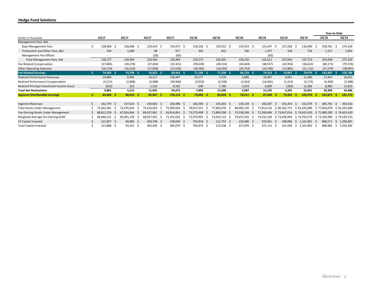### **Hedge Fund Solutions**

|                                             |    |                |     |                          |            |            |     |                  |             |     |                  |            |    |                  |    |                          |    | Year-to-Date             |    |                          |
|---------------------------------------------|----|----------------|-----|--------------------------|------------|------------|-----|------------------|-------------|-----|------------------|------------|----|------------------|----|--------------------------|----|--------------------------|----|--------------------------|
| (Dollars in Thousands)                      |    | 1Q'17          |     | 2Q'17                    | 3Q'17      | 4Q'17      |     | 1Q'18            | 2Q'18       |     | 3Q'18            | 4Q'18      |    | 1Q'19            |    | 2Q'19                    |    | 2Q'18                    |    | 2Q'19                    |
| Management Fees, Net                        |    |                |     |                          |            |            |     |                  |             |     |                  |            |    |                  |    |                          |    |                          |    |                          |
| <b>Base Management Fees</b>                 | .S | 128,468 \$     |     | 128,698 \$               | 129,410 \$ | 129,472    | -S  | 129,228<br>- 5   | 129,553     | - S | 129,554<br>-S    | 131,447    | -S | 137,328          |    | 136,990                  |    | 258,781                  |    | 274,318                  |
| Transaction and Other Fees, Net             |    | 259            |     | 1,696                    | 48         | 977        |     | 345              | 812         |     | 766              | 1,257      |    | 318              |    | 723                      |    | 1,157                    |    | 1,041                    |
| Management Fee Offsets                      |    | $\sim$         |     | $\overline{\phantom{a}}$ | (28)       | (65)       |     | $\sim$           |             |     | ٠                | (93)       |    | $\sim$           |    | $\overline{\phantom{a}}$ |    | $\overline{\phantom{a}}$ |    | $\overline{\phantom{a}}$ |
| Total Management Fees, Net                  |    | 128,727        |     | 130,394                  | 129,430    | 130,384    |     | 129,573          | 130,365     |     | 130,320          | 132,611    |    | 137,646          |    | 137,713                  |    | 259,938                  |    | 275,359                  |
| Fee Related Compensation                    |    | (37, 865)      |     | (39, 278)                | (37, 450)  | (32, 331)  |     | (39, 639)        | (40, 533)   |     | (43, 443)        | (38, 557)  |    | (42, 954)        |    | (36, 622)                |    | (80, 172)                |    | (79, 576)                |
| <b>Other Operating Expenses</b>             |    | (16, 379)      |     | (16, 318)                | (17, 958)  | (17,610)   |     | (18, 785)        | (18, 494)   |     | (20, 753)        | (19, 740)  |    | (17, 885)        |    | (21, 112)                |    | (37, 279)                |    | (38, 997)                |
| <b>Fee Related Earnings</b>                 |    | 74,483 \$      |     | 74,798 \$                | 74,022 \$  | 80,443     | -S. | $71,149$ \$      | $71,338$ \$ |     | $66,124$ \$      | 74,314 \$  |    | 76,807           |    | 79,979                   |    | 142,487                  |    | 156,786                  |
| <b>Realized Performance Revenues</b>        |    | 14,684         |     | 6,995                    | 14,217     | 118,447    |     | 10,177           | 7,270       |     | 3,985            | 20,987     |    | 4,091            |    | 11,960                   |    | 17,447                   |    | 16,051                   |
| Realized Performance Compensation           |    | (4, 171)       |     | (2,008)                  | (3,588)    | (30, 940)  |     | (2,923)          | (2, 546)    |     | (1, 922)         | (14, 401)  |    | (1, 413)         |    | (2, 175)                 |    | (5, 469)                 |    | (3,588)                  |
| Realized Principal Investment Income (Loss) |    | (632)          |     | 225                      | 1,316      | 8,165      |     | 640              | 7,766       |     | 2,024            | 6,609      |    | (283)            |    | 12,306                   |    | 8,406                    |    | 12,023                   |
| <b>Total Net Realizations</b>               |    | 9,881          |     | 5,212                    | 11,945     | 95,672     |     | 7,894            | 12,490      |     | 4,087            | 13,195     |    | 2,395            |    | 22,091                   |    | 20,384                   |    | 24,486                   |
| <b>Segment Distributable Earnings</b>       |    | 84,364         |     | 80,010                   | 85,967     | 176,115    |     | 79,043           | 83,828      | -Ś  | 70,211           | 87,509     |    | 79,202           |    | 102,070                  |    | 162,871                  |    | 181,272                  |
|                                             |    |                |     |                          |            |            |     |                  |             |     |                  |            |    |                  |    |                          |    |                          |    |                          |
| Segment Revenues                            | Ŝ. | 142,779 \$     |     | 137,614 \$               | 144,963 \$ | 256,996 \$ |     | 140,390<br>-S    | 145,401 \$  |     | 136,329<br>-S    | 160,207    | -S | 141.454          | S  | 161,979                  | ς  | 285,791                  |    | 303,433                  |
| <b>Total Assets Under Management</b>        |    | 73.303.381     | -S  | 72.476.444               | 74,219,563 | 75.090.834 |     | 78,657,551       | 77.403.078  | S   | 80,005,136       | 77,814,516 |    | S 80<br>.182.772 |    | \$81.435.680             |    | S 77.403.078             |    | \$81,435,680             |
| Fee-Earning Assets Under Management         |    | .528<br>68.812 |     | 67.824.464               | 69.037.961 | 69.914.061 | S   | 73.570.498       | 71,889,290  | -S  | 74.558.599       | 72.280.606 |    | \$73.647.014     |    | \$74,653,420             |    | \$71.889.290             |    | \$74,653,420             |
| Weighted-Average Fee-Earning AUM            |    | 68.406.531     | - S | 69,301,<br>.130          | 68,957,501 | 71,101,632 | 5   | 72,979,993<br>-5 | 73,635,114  | -S  | 74,637,255<br>-S | 74,232,169 |    | S 73.458.940     |    | \$74.793.579             |    | \$73.269.990             |    | \$74,194,723             |
| LP Capital Invested                         | Ŝ. | 121,857 \$     |     | 89,985<br>- 9            | 360,748 \$ | 328,640 \$ |     | 755,818<br>-S    | 112,753     | - S | 226,086<br>- S   | 376,061    | -S | 108.006          | S. | 1,101,801                | -S | 868,571                  | -S | 1,209,807                |
| <b>Total Capital Invested</b>               |    | 121,888 \$     |     | 93,191 \$                | 363,420 \$ | 383,070    | -S  | 785,874          | 113,108     | - S | 227,870<br>-S    | 575,115    | -S | 231,590          | -5 | 2.101.802                |    | 898,982                  |    | 2,333,392                |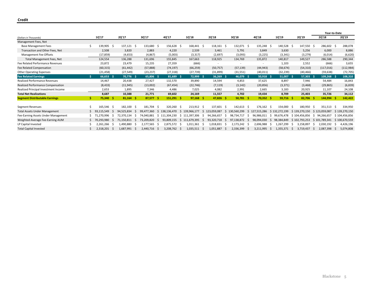|                                          |   |                 |     |                  |              |            |             |     |                |     |                          |          |            |     |             |     |             |     |               |    | Year-to-Date  |     |               |
|------------------------------------------|---|-----------------|-----|------------------|--------------|------------|-------------|-----|----------------|-----|--------------------------|----------|------------|-----|-------------|-----|-------------|-----|---------------|----|---------------|-----|---------------|
| (Dollars in Thousands)                   |   | 1Q'17           |     | 2Q'17            | 3Q'17        |            | 4Q'17       |     | 1Q'18          |     | 2Q'18                    |          | 3Q'18      |     | 4Q'18       |     | 1Q'19       |     | 2Q'19         |    | 2Q'18         |     | 2Q'19         |
| Management Fees, Net                     |   |                 |     |                  |              |            |             |     |                |     |                          |          |            |     |             |     |             |     |               |    |               |     |               |
| <b>Base Management Fees</b>              | 5 | 139,905 \$      |     | 137,121 \$       |              | 133,680 \$ | 156,628 \$  |     | 168,441 \$     |     | 118,161 \$               |          | 132,071 \$ |     | 135,248     | - S | 140,528 \$  |     | 147,550 \$    |    | 286,602 \$    |     | 288,078       |
| Transaction and Other Fees, Net          |   | 2,508           |     | 3,820            | 2,883        |            | 4,220       |     | 2,539          |     | 3,461                    |          | 5,791      |     | 3,849       |     | 3,630       |     | 5,256         |    | 6,000         |     | 8,886         |
| Management Fee Offsets                   |   | (17, 859)       |     | (4, 653)         | (4, 867)     |            | (5,003)     |     | (3, 317)       |     | (2,697)                  |          | (3,093)    |     | (3, 225)    |     | (3, 341)    |     | (3, 279)      |    | (6,014)       |     | (6,620)       |
| Total Management Fees, Net               |   | 124,554         |     | 136,288          | 131,696      |            | 155,845     |     | 167,663        |     | 118,925                  |          | 134,769    |     | 135,872     |     | 140,817     |     | 149,527       |    | 286,588       |     | 290,344       |
| Fee Related Performance Revenues         |   | 23,872          |     | 23,479           | 15,235       |            | 27,359      |     | (666)          |     | $\overline{\phantom{a}}$ |          |            |     |             |     | 1,103       |     | 2,552         |    | (666)         |     | 3,655         |
| Fee Related Compensation                 |   | (60, 315)       |     | (61, 442)        | (57, 888)    |            | (74, 197)   |     | (66, 259)      |     | (50, 757)                |          | (57, 139)  |     | (44, 943)   |     | (58, 674)   |     | (54, 310)     |    | (117, 016)    |     | (112, 984)    |
| <b>Other Operating Expenses</b>          |   | (21, 458)       |     | (27, 549)        | (23, 237)    |            | (27, 318)   |     | (27, 739)      |     | (31, 899)                |          | (31, 551)  |     | (40, 011)   |     | (32, 239)   |     | (40, 466)     |    | (59, 638)     |     | (72, 705)     |
| <b>Fee Related Earnings</b>              |   | 66,653          | - S | 70,776 \$        | 65,806       | - S        | 81,689 \$   |     | 72,999         | - S | $36,269$ \$              |          | 46,079 \$  |     | $50,918$ \$ |     | 51,007      |     | $57,303$ \$   |    | $109,268$ \$  |     | 108,310       |
| <b>Realized Performance Revenues</b>     |   | 14,467          |     | 20,438           | 27,427       |            | 132,570     |     | 39,890         |     | 14,594                   |          | 4,853      |     | 37,625      |     | 8,897       |     | 7,946         |    | 54,484        |     | 16,843        |
| <b>Realized Performance Compensation</b> |   | (8, 433)        |     | (11, 945)        | (13,002)     |            | (67, 454)   |     | (22, 746)      |     | (7, 119)                 |          | (3, 142)   |     | (20, 856)   |     | (3, 371)    |     | (3, 468)      |    | (29, 865)     |     | (6, 839)      |
| Realized Principal Investment Income     |   | 2,653           |     | 1,895            | 7,346        |            | 4,486       |     | 7,025          |     | 4,082                    |          | 2,991      |     | 2,665       |     | 3,183       |     | 20,925        |    | 11,107        |     | 24,108        |
| <b>Total Net Realizations</b>            |   | 8,687           |     | 10,388           | 21,771       |            | 69,602      |     | 24,169         |     | 11,557                   |          | 4,702      |     | 19,434      |     | 8,709       |     | 25,403        |    | 35,726        |     | 34,112        |
| <b>Segment Distributable Earnings</b>    |   | 75,340          | -S  | 81,164<br>- S    | 87,577       | -S         | 151,291     | - S | $97,168$ \$    |     | 47,826                   | - S      | 50,781     | - S | 70,352      | -S  | 59,716      |     | 82,706        |    | 144,994       | s   | 142,422       |
|                                          |   |                 |     |                  |              |            |             |     |                |     |                          |          |            |     |             |     |             |     |               |    |               |     |               |
| Segment Revenues                         |   | 165,546 \$      |     | 182,100<br>-S    | 181,704      | -S         | 320,260     | - S | 213,912 \$     |     | 137,601                  | - S      | 142,613    | - S | 176,162     | - S | 154,000     | - S | 180,950 \$    |    | 351,513       | - S | 334,950       |
| <b>Total Assets Under Management</b>     |   | 93,115,549      |     | 94,525,834       | 99.477.360   | Ŝ.         | 136.470     | Ŝ   | 139.966.177    | -Ś  | .059.087                 | <b>S</b> | ,560,299   | .S  | 127,515,286 | S   | 132.272.199 |     | \$139,270,150 | S  | 123,059,087   |     | \$139,270,150 |
| Fee-Earning Assets Under Management      |   | 71,270,996      | -S  | 72.370.134<br>-S | 74.040.881   | S.         | 111.304.230 |     | \$111.397.306  | -S  | 94.266.657               | -S       | 98,734,717 | -S  | 96.986.011  | -S  | 99.676.478  |     | \$104.456.856 | -S | 94.266.657    |     | \$104.456.856 |
| Weighted-Average Fee-Earning AUM         |   | 70.293.980      | -S  | 71.150.811<br>-S | 73.209.820   | -S         | 93.809.155  | S.  | 111.679.395    | -S  | 93.320.718               | -S       | 97.138.872 | -S  | 98.094.030  | -S  | 98.384.849  |     | \$102.793.253 |    | \$101.789.341 |     | \$100,670,559 |
| LP Capital Invested                      |   | .266 S<br>2.261 |     | 1.490.880<br>-S  | 2,177,565    | - S        | 2.875.572   | -S  | 1,011,361      | - S | 1,018,831                | - S      | 2,173,242  | -S  | 2,696,988   | -S  | 1.267.299   | S   | 3.158.897     |    | 2.030.192     | S   | 4,426,196     |
| <b>Total Capital Invested</b>            |   | $2,318,201$ \$  |     | 1,687,991<br>-S  | 2,440,716 \$ |            | 3,208,762   | - S | $1,035,511$ \$ |     | 1,051,887                | - S      | 2,336,399  | - S | 3,211,995   | -S  | 1,355,371   | - S | 3,719,437     |    | 2,087,398     | S   | 5,074,808     |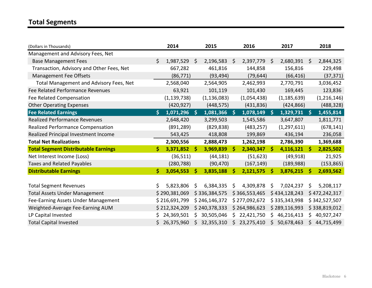# **Total Segments**

| (Dollars in Thousands)                         |    | 2014          |     | 2015          |     | 2016          |                    | 2017          |              | 2018          |
|------------------------------------------------|----|---------------|-----|---------------|-----|---------------|--------------------|---------------|--------------|---------------|
| Management and Advisory Fees, Net              |    |               |     |               |     |               |                    |               |              |               |
| <b>Base Management Fees</b>                    | \$ | 1,987,529     | \$  | 2,196,583     | Ś.  | 2,397,779     | \$                 | 2,680,391     | $\zeta$      | 2,844,325     |
| Transaction, Advisory and Other Fees, Net      |    | 667,282       |     | 461,816       |     | 144,858       |                    | 156,816       |              | 229,498       |
| Management Fee Offsets                         |    | (86, 771)     |     | (93, 494)     |     | (79, 644)     |                    | (66, 416)     |              | (37, 371)     |
| <b>Total Management and Advisory Fees, Net</b> |    | 2,568,040     |     | 2,564,905     |     | 2,462,993     |                    | 2,770,791     |              | 3,036,452     |
| Fee Related Performance Revenues               |    | 63,921        |     | 101,119       |     | 101,430       |                    | 169,445       |              | 123,836       |
| Fee Related Compensation                       |    | (1, 139, 738) |     | (1, 136, 083) |     | (1,054,438)   |                    | (1, 185, 639) |              | (1, 216, 146) |
| <b>Other Operating Expenses</b>                |    | (420, 927)    |     | (448, 575)    |     | (431, 836)    |                    | (424, 866)    |              | (488, 328)    |
| <b>Fee Related Earnings</b>                    | \$ | 1,071,296     | -\$ | 1,081,366     | -\$ | 1,078,149     | $\mathsf{\hat{S}}$ | 1,329,731     | $\mathsf{S}$ | 1,455,814     |
| <b>Realized Performance Revenues</b>           |    | 2,648,420     |     | 3,299,503     |     | 1,545,586     |                    | 3,647,807     |              | 1,811,771     |
| Realized Performance Compensation              |    | (891, 289)    |     | (829, 838)    |     | (483, 257)    |                    | (1, 297, 611) |              | (678, 141)    |
| Realized Principal Investment Income           |    | 543,425       |     | 418,808       |     | 199,869       |                    | 436,194       |              | 236,058       |
| <b>Total Net Realizations</b>                  |    | 2,300,556     |     | 2,888,473     |     | 1,262,198     |                    | 2,786,390     |              | 1,369,688     |
| <b>Total Segment Distributable Earnings</b>    | \$ | 3,371,852     | 'S  | 3,969,839     | \$  | 2,340,347     | \$                 | 4,116,121     | \$           | 2,825,502     |
| Net Interest Income (Loss)                     |    | (36, 511)     |     | (44, 181)     |     | (51, 623)     |                    | (49, 918)     |              | 21,925        |
| <b>Taxes and Related Payables</b>              |    | (280, 788)    |     | (90, 470)     |     | (167, 149)    |                    | (189, 988)    |              | (153, 865)    |
| <b>Distributable Earnings</b>                  | \$ | 3,054,553     | Ŝ   | 3,835,188     | Ŝ   | 2,121,575     | \$                 | 3,876,215     | \$           | 2,693,562     |
|                                                |    |               |     |               |     |               |                    |               |              |               |
| <b>Total Segment Revenues</b>                  | Ś. | 5,823,806     | Ś   | 6,384,335     | \$  | 4,309,878     | \$                 | 7,024,237     | \$           | 5,208,117     |
| <b>Total Assets Under Management</b>           |    | \$290,381,069 |     | \$336,384,575 |     | \$366,553,465 |                    | \$434,128,243 |              | \$472,242,317 |
| Fee-Earning Assets Under Management            |    | \$216,691,799 |     | \$246,146,372 |     | \$277,092,672 |                    | \$335,343,998 |              | \$342,527,507 |
| Weighted-Average Fee-Earning AUM               |    | \$212,324,209 |     | \$240,378,333 |     | \$264,986,623 |                    | \$289,116,993 |              | \$338,819,012 |
| LP Capital Invested                            |    | 24,369,501    | Ś.  | 30,505,046    |     | \$22,421,750  | \$                 | 46,216,413    | \$.          | 40,927,247    |
| <b>Total Capital Invested</b>                  |    | 26,375,960    | Ś.  | 32,355,310    | \$. | 23,275,410    | \$                 | 50,678,463    | \$           | 44,715,499    |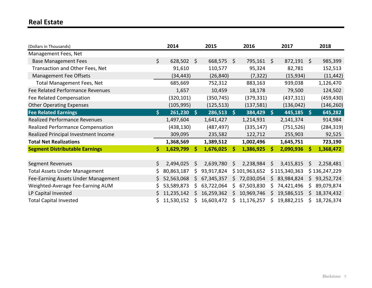## **Real Estate**

| (Dollars in Thousands)                |    | 2014       |              | 2015         |    | 2016          |              | 2017          |     | 2018          |
|---------------------------------------|----|------------|--------------|--------------|----|---------------|--------------|---------------|-----|---------------|
| Management Fees, Net                  |    |            |              |              |    |               |              |               |     |               |
| <b>Base Management Fees</b>           | \$ | 628,502    | S.           | 668,575      | Ŝ. | 795,161       | \$           | 872,191       | S.  | 985,399       |
| Transaction and Other Fees, Net       |    | 91,610     |              | 110,577      |    | 95,324        |              | 82,781        |     | 152,513       |
| <b>Management Fee Offsets</b>         |    | (34, 443)  |              | (26, 840)    |    | (7, 322)      |              | (15, 934)     |     | (11, 442)     |
| <b>Total Management Fees, Net</b>     |    | 685,669    |              | 752,312      |    | 883,163       |              | 939,038       |     | 1,126,470     |
| Fee Related Performance Revenues      |    | 1,657      |              | 10,459       |    | 18,178        |              | 79,500        |     | 124,502       |
| Fee Related Compensation              |    | (320, 101) |              | (350, 745)   |    | (379, 331)    |              | (437, 311)    |     | (459, 430)    |
| <b>Other Operating Expenses</b>       |    | (105, 995) |              | (125, 513)   |    | (137, 581)    |              | (136, 042)    |     | (146, 260)    |
| <b>Fee Related Earnings</b>           | \$ | 261,230    | $\mathsf{S}$ | $286,513$ \$ |    | 384,429       | $\mathsf{S}$ | $445,185$ \$  |     | 645,282       |
| <b>Realized Performance Revenues</b>  |    | 1,497,604  |              | 1,641,427    |    | 1,214,931     |              | 2,141,374     |     | 914,984       |
| Realized Performance Compensation     |    | (438, 130) |              | (487, 497)   |    | (335, 147)    |              | (751, 526)    |     | (284, 319)    |
| Realized Principal Investment Income  |    | 309,095    |              | 235,582      |    | 122,712       |              | 255,903       |     | 92,525        |
| <b>Total Net Realizations</b>         |    | 1,368,569  |              | 1,389,512    |    | 1,002,496     |              | 1,645,751     |     | 723,190       |
| <b>Segment Distributable Earnings</b> | \$ | 1,629,799  | -S           | 1,676,025    | Ŝ. | 1,386,925     | Ŝ            | 2,090,936     | \$  | 1,368,472     |
|                                       |    |            |              |              |    |               |              |               |     |               |
| Segment Revenues                      | \$ | 2,494,025  | S            | 2,639,780    | S  | 2,238,984     | \$           | 3,415,815     | \$  | 2,258,481     |
| <b>Total Assets Under Management</b>  | S. | 80,863,187 | \$           | 93,917,824   |    | \$101,963,652 |              | \$115,340,363 |     | \$136,247,229 |
| Fee-Earning Assets Under Management   |    | 52,563,068 | S            | 67,345,357   | S. | 72,030,054    | S            | 83,984,824    | S.  | 93,252,724    |
| Weighted-Average Fee-Earning AUM      | \$ | 53,589,873 | Ś            | 63,722,064   | \$ | 67,503,830    | \$           | 74,421,496    | \$. | 89,079,874    |
| LP Capital Invested                   | S. | 11,235,142 | S            | 16,259,362   | S. | 10,969,746    | \$           | 19,586,515    | S.  | 18,374,432    |
| <b>Total Capital Invested</b>         |    | 11,530,152 | \$           | 16,603,472   | S  | 11,176,257    | \$           | 19,882,215    | S   | 18,726,374    |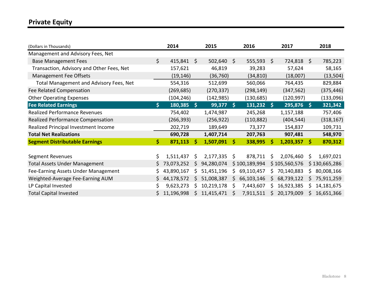### **Private Equity**

| (Dollars in Thousands)                         |    | 2014       |            | 2015        |    | 2016          |      | 2017          |    | 2018          |
|------------------------------------------------|----|------------|------------|-------------|----|---------------|------|---------------|----|---------------|
| Management and Advisory Fees, Net              |    |            |            |             |    |               |      |               |    |               |
| <b>Base Management Fees</b>                    | \$ | 415,841    | - \$       | 502,640     | Ŝ. | 555,593       | S.   | 724,818 \$    |    | 785,223       |
| Transaction, Advisory and Other Fees, Net      |    | 157,621    |            | 46,819      |    | 39,283        |      | 57,624        |    | 58,165        |
| Management Fee Offsets                         |    | (19, 146)  |            | (36, 760)   |    | (34, 810)     |      | (18,007)      |    | (13, 504)     |
| <b>Total Management and Advisory Fees, Net</b> |    | 554,316    |            | 512,699     |    | 560,066       |      | 764,435       |    | 829,884       |
| Fee Related Compensation                       |    | (269, 685) |            | (270, 337)  |    | (298, 149)    |      | (347, 562)    |    | (375, 446)    |
| <b>Other Operating Expenses</b>                |    | (104, 246) |            | (142, 985)  |    | (130, 685)    |      | (120, 997)    |    | (133,096)     |
| <b>Fee Related Earnings</b>                    | \$ | 180,385    | <b>IST</b> | $99,377$ \$ |    | 131,232       | - \$ | 295,876 \$    |    | 321,342       |
| <b>Realized Performance Revenues</b>           |    | 754,402    |            | 1,474,987   |    | 245,268       |      | 1,157,188     |    | 757,406       |
| Realized Performance Compensation              |    | (266, 393) |            | (256, 922)  |    | (110, 882)    |      | (404, 544)    |    | (318, 167)    |
| Realized Principal Investment Income           |    | 202,719    |            | 189,649     |    | 73,377        |      | 154,837       |    | 109,731       |
| <b>Total Net Realizations</b>                  |    | 690,728    |            | 1,407,714   |    | 207,763       |      | 907,481       |    | 548,970       |
| <b>Segment Distributable Earnings</b>          | \$ | 871,113    | Ŝ          | 1,507,091   | -Ś | 338,995       | Ŝ    | 1,203,357     | Ŝ. | 870,312       |
|                                                |    |            |            |             |    |               |      |               |    |               |
| Segment Revenues                               | \$ | 1,511,437  | \$         | 2,177,335   | \$ | 878,711       | \$   | 2,076,460     | \$ | 1,697,021     |
| <b>Total Assets Under Management</b>           | S  | 73,073,252 | Ś          | 94,280,074  |    | \$100,189,994 |      | \$105,560,576 |    | \$130,665,286 |
| Fee-Earning Assets Under Management            |    | 43,890,167 | S          | 51,451,196  | \$ | 69,110,457    | Ś    | 70,140,883    | S  | 80,008,166    |
| Weighted-Average Fee-Earning AUM               | \$ | 44,178,572 | Ś          | 51,008,387  | \$ | 66,103,146    | S    | 68,739,122    | S. | 75,911,259    |
| LP Capital Invested                            | \$ | 9,623,273  | S          | 10,219,178  | S  | 7,443,607     | Ś    | 16,923,385    | S  | 14,181,675    |
| <b>Total Capital Invested</b>                  |    | 11,196,998 | S.         | 11,415,471  |    | 7,911,511     | S    | 20,179,009    | S. | 16,651,366    |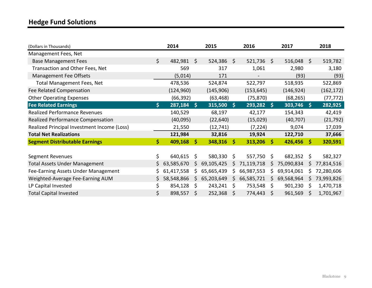# **Hedge Fund Solutions**

| (Dollars in Thousands)                      |                          | 2014       |      | 2015         |          | 2016         |      | 2017         |              | 2018       |
|---------------------------------------------|--------------------------|------------|------|--------------|----------|--------------|------|--------------|--------------|------------|
| Management Fees, Net                        |                          |            |      |              |          |              |      |              |              |            |
| <b>Base Management Fees</b>                 | \$                       | 482,981 \$ |      | $524,386$ \$ |          | $521,736$ \$ |      | $516,048$ \$ |              | 519,782    |
| Transaction and Other Fees, Net             |                          | 569        |      | 317          |          | 1,061        |      | 2,980        |              | 3,180      |
| Management Fee Offsets                      |                          | (5,014)    |      | 171          |          |              |      | (93)         |              | (93)       |
| <b>Total Management Fees, Net</b>           |                          | 478,536    |      | 524,874      |          | 522,797      |      | 518,935      |              | 522,869    |
| Fee Related Compensation                    |                          | (124, 960) |      | (145, 906)   |          | (153, 645)   |      | (146, 924)   |              | (162, 172) |
| <b>Other Operating Expenses</b>             |                          | (66, 392)  |      | (63, 468)    |          | (75, 870)    |      | (68, 265)    |              | (77, 772)  |
| <b>Fee Related Earnings</b>                 | $\vert \mathsf{S} \vert$ | 287,184    | -\$  | 315,500      | <b>S</b> | $293,282$ \$ |      | 303,746      | -\$          | 282,925    |
| <b>Realized Performance Revenues</b>        |                          | 140,529    |      | 68,197       |          | 42,177       |      | 154,343      |              | 42,419     |
| Realized Performance Compensation           |                          | (40,095)   |      | (22, 640)    |          | (15,029)     |      | (40, 707)    |              | (21, 792)  |
| Realized Principal Investment Income (Loss) |                          | 21,550     |      | (12, 741)    |          | (7, 224)     |      | 9,074        |              | 17,039     |
| <b>Total Net Realizations</b>               |                          | 121,984    |      | 32,816       |          | 19,924       |      | 122,710      |              | 37,666     |
| <b>Segment Distributable Earnings</b>       | \$                       | 409,168    | - \$ | $348,316$ \$ |          | 313,206      | - \$ | 426,456      | - \$         | 320,591    |
|                                             |                          |            |      |              |          |              |      |              |              |            |
| Segment Revenues                            | \$                       | 640,615    | Ŝ.   | 580,330      | S.       | 557,750      | S    | 682,352      | \$.          | 582,327    |
| <b>Total Assets Under Management</b>        | S.                       | 63,585,670 | S    | 69,105,425   | S        | 71,119,718   |      | 75,090,834   | S            | 77,814,516 |
| Fee-Earning Assets Under Management         | S.                       | 61,417,558 | S    | 65,665,439   | S.       | 66,987,553   | S    | 69,914,061   | S            | 72,280,606 |
| Weighted-Average Fee-Earning AUM            | S.                       | 58,548,866 | S.   | 65,203,649   | S.       | 66,585,721   | S    | 69,568,964   | S            | 73,993,826 |
| LP Capital Invested                         | \$                       | 854,128    | Ŝ.   | 243,241      | S        | 753,548      | \$   | 901,230      | <sub>S</sub> | 1,470,718  |
| <b>Total Capital Invested</b>               | \$                       | 898,557    | Ŝ    | 252,368      | S        | 774,443      | S    | 961,569      |              | 1,701,967  |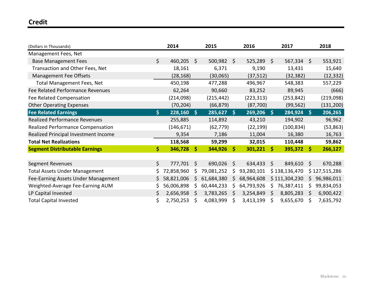### **Credit**

| (Dollars in Thousands)                |              | 2014         |              | 2015         |    | 2016         |      | 2017          |              | 2018          |
|---------------------------------------|--------------|--------------|--------------|--------------|----|--------------|------|---------------|--------------|---------------|
| Management Fees, Net                  |              |              |              |              |    |              |      |               |              |               |
| <b>Base Management Fees</b>           | $\mathsf{S}$ | 460,205      | S.           | $500,982$ \$ |    | 525,289      | - \$ | $567,334$ \$  |              | 553,921       |
| Transaction and Other Fees, Net       |              | 18,161       |              | 6,371        |    | 9,190        |      | 13,431        |              | 15,640        |
| Management Fee Offsets                |              | (28, 168)    |              | (30,065)     |    | (37, 512)    |      | (32, 382)     |              | (12, 332)     |
| <b>Total Management Fees, Net</b>     |              | 450,198      |              | 477,288      |    | 496,967      |      | 548,383       |              | 557,229       |
| Fee Related Performance Revenues      |              | 62,264       |              | 90,660       |    | 83,252       |      | 89,945        |              | (666)         |
| Fee Related Compensation              |              | (214,098)    |              | (215, 442)   |    | (223, 313)   |      | (253, 842)    |              | (219,098)     |
| <b>Other Operating Expenses</b>       |              | (70, 204)    |              | (66, 879)    |    | (87, 700)    |      | (99, 562)     |              | (131, 200)    |
| <b>Fee Related Earnings</b>           | \$           | 228,160      | - \$         | $285,627$ \$ |    | $269,206$ \$ |      | $284,924$ \$  |              | 206,265       |
| <b>Realized Performance Revenues</b>  |              | 255,885      |              | 114,892      |    | 43,210       |      | 194,902       |              | 96,962        |
| Realized Performance Compensation     |              | (146, 671)   |              | (62, 779)    |    | (22, 199)    |      | (100, 834)    |              | (53, 863)     |
| Realized Principal Investment Income  |              | 9,354        |              | 7,186        |    | 11,004       |      | 16,380        |              | 16,763        |
| <b>Total Net Realizations</b>         |              | 118,568      |              | 59,299       |    | 32,015       |      | 110,448       |              | 59,862        |
| <b>Segment Distributable Earnings</b> | \$           | $346,728$ \$ |              | 344,926      | 'S | $301,221$ \$ |      | $395,372$ \$  |              | 266,127       |
|                                       |              |              |              |              |    |              |      |               |              |               |
| <b>Segment Revenues</b>               | $\zeta$      | 777,701      | $\mathsf{S}$ | 690,026      | \$ | 634,433      | \$   | 849,610       | \$           | 670,288       |
| <b>Total Assets Under Management</b>  | S.           | 72,858,960   | S            | 79,081,252   | Ş  | 93,280,101   |      | \$138,136,470 |              | \$127,515,286 |
| Fee-Earning Assets Under Management   | Š.           | 58,821,006   | S            | 61,684,380   | \$ | 68,964,608   |      | \$111,304,230 | S.           | 96,986,011    |
| Weighted-Average Fee-Earning AUM      | \$           | 56,006,898   | S            | 60,444,233   | S. | 64,793,926   | S    | 76,387,411    | S.           | 99,834,053    |
| LP Capital Invested                   | S.           | 2,656,958    | S.           | 3,783,265    | S  | 3,254,849    | \$   | 8,805,283     | <sub>S</sub> | 6,900,422     |
| <b>Total Capital Invested</b>         | \$.          | 2,750,253    | \$           | 4,083,999    | S  | 3,413,199    | \$   | 9,655,670     | \$           | 7,635,792     |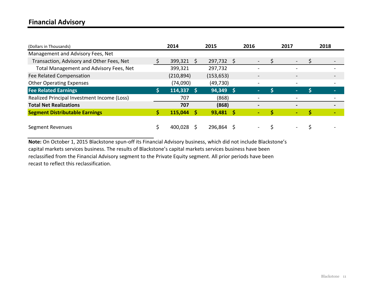### **Financial Advisory**

| (Dollars in Thousands)                      | 2014       |    | 2015        | 2016                         | 2017                     | 2018 |
|---------------------------------------------|------------|----|-------------|------------------------------|--------------------------|------|
| Management and Advisory Fees, Net           |            |    |             |                              |                          |      |
| Transaction, Advisory and Other Fees, Net   | 399,321    | -S | 297,732 \$  | $\overline{\phantom{a}}$     |                          |      |
| Total Management and Advisory Fees, Net     | 399,321    |    | 297,732     | $\qquad \qquad$              | -                        |      |
| Fee Related Compensation                    | (210, 894) |    | (153, 653)  | $\blacksquare$               | $\overline{\phantom{a}}$ |      |
| <b>Other Operating Expenses</b>             | (74,090)   |    | (49, 730)   | $\blacksquare$               | $\blacksquare$           |      |
| <b>Fee Related Earnings</b>                 | 114,337    |    | $94,349$ \$ | ٠                            |                          |      |
| Realized Principal Investment Income (Loss) | 707        |    | (868)       | $\qquad \qquad \blacksquare$ | $\overline{\phantom{a}}$ |      |
| <b>Total Net Realizations</b>               | 707        |    | (868)       |                              |                          |      |
| <b>Segment Distributable Earnings</b>       | 115,044    |    | $93,481$ \$ | ٠                            | ٠                        |      |
| <b>Segment Revenues</b>                     | 400,028    |    | 296,864     | $\qquad \qquad \blacksquare$ |                          |      |

**Note:** On October 1, 2015 Blackstone spun-off its Financial Advisory business, which did not include Blackstone's capital markets services business. The results of Blackstone's capital markets services business have been reclassified from the Financial Advisory segment to the Private Equity segment. All prior periods have been recast to reflect this reclassification.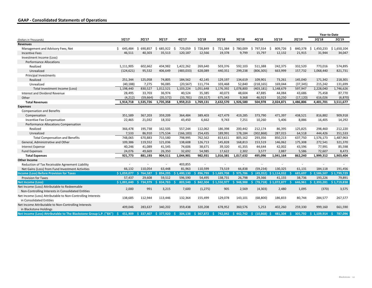### **GAAP - Consolidated Statements of Operations**

|                                                                                                    |             |               |                        |                         |               |                     |               |               |                            |                 | Year-to-Date |                |
|----------------------------------------------------------------------------------------------------|-------------|---------------|------------------------|-------------------------|---------------|---------------------|---------------|---------------|----------------------------|-----------------|--------------|----------------|
| (Dollars in Thousands)                                                                             | 1Q'17       | 2Q'17         | 3Q'17                  | 4Q'17                   | 1Q'18         | 2Q'18               | 3Q'18         | 4Q'18         | 1Q'19                      | 2Q'19           | 2Q'18        | 20'19          |
| <b>Revenues</b>                                                                                    |             |               |                        |                         |               |                     |               |               |                            |                 |              |                |
| Management and Advisory Fees, Net                                                                  | \$645,484   | 690,857<br>Ŝ. | 685,922<br>Ŝ.          | 729,059<br>S.           | \$728,849     | 721,384<br>Ŝ.       | \$780,009     | 797,554<br>Ŝ. | 809,726<br>Ŝ.              | 840,378<br>- \$ | \$1,450,233  | \$1,650,104    |
| <b>Incentive Fees</b>                                                                              | 46,511      | 40,303        | 35,513                 | 120,187                 | 12,566        | 19,378              | 9.799         | 15,797        | 12,132                     | 21,915          | 31,944       | 34,047         |
| Investment Income (Loss)                                                                           |             |               |                        |                         |               |                     |               |               |                            |                 |              |                |
| <b>Performance Allocations</b>                                                                     |             |               |                        |                         |               |                     |               |               |                            |                 |              |                |
| Realized                                                                                           | 1,111,905   | 602,662       | 434,982                | 1,422,262               | 269,640       | 503,376             | 592,103       | 511,388       | 242,375                    | 332,520         | 773,016      | 574,895        |
| Unrealized                                                                                         | (124, 621)  | 95,532        | 406,649                | (483, 033)              | 628,089       | 440,351             | 299,238       | (806, 305)    | 663,999                    | 157,732         | 1,068,440    | 821,731        |
| <b>Principal Investments</b>                                                                       |             |               |                        |                         |               |                     |               |               |                            |                 |              |                |
| Realized                                                                                           | 251,344     | 125,058       | 74,805                 | 184,562                 | 42,145        | 129,197             | 134,619       | 109,901       | 73,261                     | 145,040         | 171,342      | 218,301        |
| Unrealized                                                                                         | (40, 188)   | 7,275         | 96,085                 | (20, 567)               | 111,774       | 103,468             | 52,840        | (218, 165)    | 169,044                    | (37, 345)       | 215,242      | 131,699        |
| Total Investment Income (Loss)                                                                     | 1,198,440   | 830,527       | 1,012,521              | 1,103,224               | 1,051,648     | 1,176,392           | 1,078,800     | (403, 181)    | 1,148,679                  | 597,947         | 2,228,040    | 1,746,626      |
| Interest and Dividend Revenue                                                                      | 28,495      | 33,703        | 36,974                 | 40,524                  | 35,385        | 40,073              | 48,604        | 47,885        | 44,084                     | 43,686          | 75,458       | 87,770         |
| Other                                                                                              | (4, 212)    | (59, 664)     | (35, 572)              | (33, 781)               | (59, 317)     | 675,343             | 9,368         | 46,923        | 10,250                     | (17, 120)       | 616,026      | (6, 870)       |
| <b>Total Revenues</b>                                                                              | 1,914,718   | 1,535,726     | 1,735,358              | 1,959,213               | 1,769,131     | 2,632,570           | 1,926,580     | 504,978       | 2,024,871                  | 1,486,806       | 4,401,701    | 3,511,677      |
| <b>Expenses</b>                                                                                    |             |               |                        |                         |               |                     |               |               |                            |                 |              |                |
| <b>Compensation and Benefits</b>                                                                   |             |               |                        |                         |               |                     |               |               |                            |                 |              |                |
| Compensation                                                                                       | 351,589     | 367,203       | 359,209                | 364,484                 | 389,403       | 427,479             | 419,285       | 373,790       | 471,397                    | 438,521         | 816,882      | 909,918        |
| Incentive Fee Compensation                                                                         | 22,465      | 21,032        | 18,332                 | 43,450                  | 6,662         | 9,743               | 7,251         | 10,260        | 5,406                      | 8,886           | 16,405       | 14,292         |
| Performance Allocations Compensation                                                               |             |               |                        |                         |               |                     |               |               |                            |                 |              |                |
| Realized                                                                                           | 366,478     | 195,738       | 162,505                | 557,244                 | 112,062       | 186,398             | 200,442       | 212,174       | 86,395                     | 125,825         | 298,460      | 212,220        |
| Unrealized                                                                                         | 7,533       | 86,910        | 175,534                | (166, 183)              | 254,435       | 189,991             | 178,184       | (302, 868)    | 287,015                    | 64,518          | 444,426      | 351,533        |
| <b>Total Compensation and Benefits</b>                                                             | 748,065     | 670,883       | 715,580                | 798,995                 | 762,562       | 813,611             | 805,162       | 293,356       | 850,213                    | 637,750         | 1,576,173    | 1,487,963      |
| General, Administrative and Other                                                                  | 109,386     | 119,552       | 121,036                | 138,608                 | 126,713       | 145,828             | 168,813       | 153,519       | 146,062                    | 175,308         | 272,541      | 321,370        |
| Interest Expense                                                                                   | 40,246      | 41,089        | 41,545                 | 74,606                  | 38,671        | 39,320              | 41,355        | 44,644        | 42,002                     | 43,596          | 77,991       | 85,598         |
| <b>Fund Expenses</b>                                                                               | 24,076      | 49,669        | 26,350                 | 32,692                  | 54,985        | 17,622              | 2,302         | 3,577         | 2,887                      | 5,586           | 72,607       | 8,473          |
| <b>Total Expenses</b>                                                                              | 921,773     | 881,193       | 904,511                | 1,044,901               | 982,931       | 1,016,381           | 1,017,632     | 495,096       | 1,041,164                  | 862,240         | 1,999,312    | 1,903,404      |
| <b>Other Income</b>                                                                                |             |               |                        |                         |               |                     |               |               |                            |                 |              |                |
| Reduction of Tax Receivable Agreement Liability                                                    | $\sim$      |               |                        | 403,855                 |               | $\sim$              | ٠             |               |                            | ٠               |              |                |
| Net Gains (Loss) from Fund Investment Activities                                                   | 66,132      | 110.054       | 63.448                 | 81,963                  | 110,599       | 73,519              | 66,838        | (59, 234)     | 130,325                    | 61,131          | 184,118      | 191,456        |
| <b>Income (Loss) Before Provision for Taxes</b>                                                    | \$1,059,077 | \$764,587     |                        | $$894,295 \t$1,400,130$ | \$896,799     | \$1,689,708         | \$975,786     | - \$          | $(49,352)$ \$ 1,114,032 \$ | 685.697         | \$2.586.507  | \$1,799,729    |
| <b>Provision for Taxes</b>                                                                         | 57,437      | 29,608        | 59,512                 | 596,590                 | 54,495        | 138,731             | 26,798        | 29,366        | 41,155                     | 38,736          | 193,226      | 79,891         |
| <b>Net Income (Loss)</b>                                                                           | \$1,001,640 | \$734,979     | \$834,783              | 803,540                 | 842,304<br>-S | \$1,550,977         | \$948,988     |               | $(78, 718)$ \$ 1,072,877   | 646,961<br>€    | \$2,393,281  | \$1,719,838    |
| Net Income (Loss) Attributable to Redeemable<br>Non-Controlling Interests in Consolidated Entities | 2,000       | 991           | 3,215                  | 7,600                   | (1, 275)      | 905                 | 2,569         | (4, 303)      | 2,480                      | 1,095           | (370)        | 3,575          |
| Net Income (Loss) Attributable to Non-Controlling Interests<br>in Consolidated Entities            | 138,685     | 112,944       | 113,446                | 132,364                 | 155,499       | 129,078             | 143,101       | (68, 800)     | 186,833                    | 80,744          | 284,577      | 267,577        |
| Net Income Attributable to Non-Controlling Interests<br>in Blackstone Holdings                     | 409,046     | 283,637       | 340,202                | 359,438                 | 320,208       | 678,952             | 360,576       | 5,253         | 402,260                    | 259,330         | 999,160      | 661,590        |
| Net Income (Loss) Attributable to The Blackstone Group L.P. ("BX")                                 | \$451,909   |               | \$337.407 \$377.920 \$ | 304.138                 |               | \$367.872 \$742.042 | $$442.742$ \$ | $(10.868)$ \$ | 481.304 \$                 | 305.792         | \$1.109.914  | 787.096<br>-Ś. |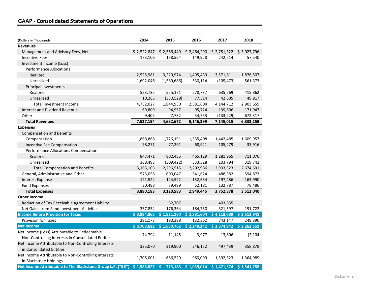### **GAAP - Consolidated Statements of Operations**

| (Dollars in Thousands)                                      | 2014           | 2015          | 2016                      | 2017                                                             | 2018        |
|-------------------------------------------------------------|----------------|---------------|---------------------------|------------------------------------------------------------------|-------------|
| <b>Revenues</b>                                             |                |               |                           |                                                                  |             |
| Management and Advisory Fees, Net                           |                |               |                           | \$2,522,847 \$2,566,449 \$2,464,290 \$2,751,322 \$3,027,796      |             |
| <b>Incentive Fees</b>                                       | 173,106        | 168,554       | 149,928                   | 242,514                                                          | 57,540      |
| Investment Income (Loss)                                    |                |               |                           |                                                                  |             |
| <b>Performance Allocations</b>                              |                |               |                           |                                                                  |             |
| Realized                                                    | 2,525,981      | 3,229,974     | 1,495,439                 | 3,571,811                                                        | 1,876,507   |
| Unrealized                                                  | 1,692,046      | (1,589,686)   | 530,114                   | (105, 473)                                                       | 561,373     |
| Principal Investments                                       |                |               |                           |                                                                  |             |
| Realized                                                    | 523,735        | 555,171       | 278,737                   | 635,769                                                          | 415,862     |
| Unrealized                                                  | 10,265         | (350, 529)    | 77,314                    | 42,605                                                           | 49,917      |
| Total Investment Income                                     | 4,752,027      | 1,844,930     | 2,381,604                 | 4,144,712                                                        | 2,903,659   |
| <b>Interest and Dividend Revenue</b>                        | 69,809         | 94,957        | 95,724                    | 139,696                                                          | 171,947     |
| Other                                                       | 9,405          | 7,782         | 54,753                    | (133, 229)                                                       | 672,317     |
| <b>Total Revenues</b>                                       | 7,527,194      | 4,682,672     | 5,146,299                 | 7,145,015                                                        | 6,833,259   |
| <b>Expenses</b>                                             |                |               |                           |                                                                  |             |
| <b>Compensation and Benefits</b>                            |                |               |                           |                                                                  |             |
| Compensation                                                | 1,868,868      | 1,726,191     | 1,335,408                 | 1,442,485                                                        | 1,609,957   |
| Incentive Fee Compensation                                  | 78,271         | 77,291        | 68,921                    | 105,279                                                          | 33,916      |
| Performance Allocations Compensation                        |                |               |                           |                                                                  |             |
| Realized                                                    | 847,471        | 802,455       | 465,129                   | 1,281,965                                                        | 711,076     |
| Unrealized                                                  | 368,493        | (309, 422)    | 333,528                   | 103,794                                                          | 319,742     |
| <b>Total Compensation and Benefits</b>                      | 3,163,103      | 2,296,515     | 2,202,986                 | 2,933,523                                                        | 2,674,691   |
| General, Administrative and Other                           | 575,058        | 600,047       | 541,624                   | 488,582                                                          | 594,873     |
| <b>Interest Expense</b>                                     | 121,524        | 144,522       | 152,654                   | 197,486                                                          | 163,990     |
| <b>Fund Expenses</b>                                        | 30,498         | 79,499        | 52,181                    | 132,787                                                          | 78,486      |
| <b>Total Expenses</b>                                       | 3,890,183      | 3,120,583     | 2,949,445                 | 3,752,378                                                        | 3,512,040   |
| <b>Other Income</b>                                         |                |               |                           |                                                                  |             |
| Reduction of Tax Receivable Agreement Liability             | $\blacksquare$ | 82,707        | $\omega_{\rm{eff}}$       | 403,855                                                          |             |
| Net Gains from Fund Investment Activities                   | 357,854        | 176,364       | 184,750                   | 321,597                                                          | 191,722     |
| <b>Income Before Provision for Taxes</b>                    | \$3,994,865    |               | $$1,821,160$ $$2,381,604$ | \$4,118,089                                                      | \$3,512,941 |
| <b>Provision for Taxes</b>                                  | 291,173        | 190,398       | 132,362                   | 743,147                                                          | 249,390     |
| <b>Net Income</b>                                           |                |               |                           | $$3,703,692$ $$1,630,762$ $$2,249,242$ $$3,374,942$ $$3,263,551$ |             |
| Net Income (Loss) Attributable to Redeemable                | 74,794         | 11,145        | 3,977                     | 13,806                                                           | (2, 104)    |
| Non-Controlling Interests in Consolidated Entities          |                |               |                           |                                                                  |             |
| Net Income Attributable to Non-Controlling Interests        | 335,070        | 219,900       | 246,152                   | 497,439                                                          | 358,878     |
| in Consolidated Entities                                    |                |               |                           |                                                                  |             |
| Net Income Attributable to Non-Controlling Interests        | 1,705,001      | 686,529       | 960,099                   | 1,392,323                                                        | 1,364,989   |
| in Blackstone Holdings                                      |                |               |                           |                                                                  |             |
| Net Income Attributable to The Blackstone Group L.P. ("BX") | \$1,588,827    | Š.<br>713,188 |                           | $$1,039,014$ $$1,471,374$                                        | \$1,541,788 |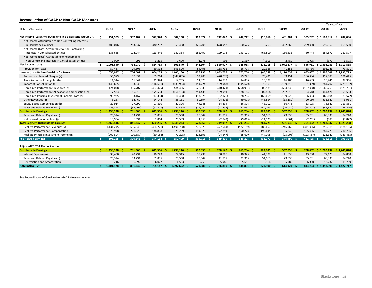#### **Reconciliation of GAAP to Non-GAAP Measures**

|                                                             |     |                  |            |            |  |                |            |              |            |                |              |            |                 | Year-to-Date |  |
|-------------------------------------------------------------|-----|------------------|------------|------------|--|----------------|------------|--------------|------------|----------------|--------------|------------|-----------------|--------------|--|
| (Dollars in Thousands)                                      |     | 10'17            | 20'17      | 30'17      |  | 40'17          | 1Q'18      | 2Q'18        | 3Q'18      | 4Q'18          | 10'19        | 2Q'19      | 2Q'18           | 2Q'19        |  |
|                                                             |     |                  |            |            |  |                |            |              |            |                |              |            |                 |              |  |
| Net Income (Loss) Attributable to The Blackstone Group L.P. | Ŝ   | 451,909<br>- S   | 337,407 \$ | 377,920 \$ |  | 304,138 \$     | 367,872 \$ | 742,042 \$   | 442,742 \$ | $(10, 868)$ \$ | 481,304 \$   | 305,792    | $$1,109,914$ \$ | 787,096      |  |
| Net Income Attributable to Non-Controlling Interests        |     |                  |            |            |  |                |            |              |            |                |              |            |                 |              |  |
| in Blackstone Holdings                                      |     | 409,046          | 283,637    | 340,202    |  | 359,438        | 320,208    | 678,952      | 360,576    | 5,253          | 402,260      | 259,330    | 999,160         | 661,590      |  |
| Net Income (Loss) Attributable to Non-Controlling           |     |                  |            |            |  |                |            |              |            |                |              |            |                 |              |  |
| Interests in Consolidated Entities                          |     | 138,685          | 112,944    | 113,446    |  | 132,364        | 155,499    | 129,078      | 143,101    | (68, 800)      | 186,833      | 80,744     | 284,577         | 267,577      |  |
| Net Income (Loss) Attributable to Redeemable                |     |                  |            |            |  |                |            |              |            |                |              |            |                 |              |  |
| Non-Controlling Interests in Consolidated Entities          |     | 2,000            | 991        | 3,215      |  | 7,600          | (1, 275)   | 905          | 2,569      | (4,303)        | 2,480        | 1,095      | (370)           | 3,575        |  |
| <b>Net Income (Loss)</b>                                    |     | 1,001,640        | 734,979 \$ | 834,783    |  | 803,540 \$     | 842,304    | 1,550,977 \$ | 948,988 \$ | $(78, 718)$ \$ | 1,072,877 \$ | 646,961    | \$2,393,281     | \$1,719,838  |  |
| <b>Provision for Taxes</b>                                  |     | 57,437           | 29,608     | 59,512     |  | 596,590        | 54,495     | 138,731      | 26,798     | 29,366         | 41,155       | 38,736     | 193,226         | 79,891       |  |
| Income (Loss) Before Provision for Taxes                    |     | 1,059,077<br>- S | 764,587 \$ | 894,295    |  | 1,400,130 \$   | 896,799    | 1,689,708 \$ | 975,786 \$ | $(49,352)$ \$  | 1,114,032 \$ | 685,697    | 2,586,507<br>-S | \$1,799,729  |  |
| Transaction-Related Charges (a)                             |     | 56,979           | 57,831     | 55,714     |  | (347, 055)     | 52,489     | (470, 078)   | 79,242     | 76,431         | 89,451       | 106,994    | (417, 589)      | 196,445      |  |
| Amortization of Intangibles (b)                             |     | 11,344           | 11,344     | 11,344     |  | 14,265         | 14,873     | 14,873       | 14,856     | 15,392         | 16,483       | 16,483     | 29,746          | 32,966       |  |
| Impact of Consolidation (c)                                 |     | (140, 685)       | (113, 935) | (116, 661) |  | (139, 964)     | (154, 224) | (129, 983)   | (145, 670) | 73,103         | (189, 313)   | (81, 839)  | (284, 207)      | (271, 152)   |  |
| Unrealized Performance Revenues (d)                         |     | 124,078          | (95, 707)  | (407, 425) |  | 484,486        | (628, 339) | (440, 424)   | (298, 931) | 806,531        | (664, 333)   | (157, 398) | (1,068,763)     | (821, 731)   |  |
| Unrealized Performance Allocations Compensation (e)         |     | 7,533            | 86,910     | 175,534    |  | (166, 183)     | 254,435    | 189,991      | 178,184    | (302, 868)     | 287,015      | 64,518     | 444,426         | 351,533      |  |
| Unrealized Principal Investment (Income) Loss (f)           |     | 98,935           | 33,167     | (17, 384)  |  | 16,488         | (13,978)   | (52, 126)    | (28, 704)  | 160,659        | (139, 925)   | 56,353     | (66, 104)       | (83, 572)    |  |
| Other Revenues (g)                                          |     | 8,287            | 62,469     | 34,144     |  | 35,151         | 60,894     | (94, 416)    | (9,092)    | (46, 854)      | (13, 189)    | 20,150     | (33, 522)       | 6,961        |  |
| Equity-Based Compensation (h)                               |     | 29,914           | 27,990     | 27,810     |  | 21,396         | 44,148     | 34,394       | 36,576     | 43,102         | 66,776       | 53,105     | 78,542          | 119,881      |  |
| Taxes and Related Payables (i)                              |     | (25, 324)        | (53, 291)  | (31, 805)  |  | (79, 568)      | (25,042)   | (41, 797)    | (32, 963)  | (54,063)       | (29, 039)    | (55, 201)  | (66, 839)       | (84, 240)    |  |
| <b>Distributable Earnings</b>                               | \$. | 1,230,138        | 781,365 \$ | 625,566    |  | 1.239.146 \$   | 502,055 \$ | 700.142 \$   | 769,284 \$ | 722,081 \$     | 537,958 \$   | 708,862    | \$1.202.197     | \$1,246,820  |  |
| Taxes and Related Payables (i)                              |     | 25,324           | 53,291     | 31,805     |  | 79.568         | 25,042     | 41,797       | 32,963     | 54,063         | 29,039       | 55,201     | 66,839          | 84,240       |  |
| Net Interest (Income) Loss (j)                              |     | 10,954           | 6,591      | 2,864      |  | 29,509         | 1,853      | (2,842)      | (9,013)    | (11, 923)      | (5,061)      | (2,761)    | (989)           | (7, 822)     |  |
| <b>Total Segment Distributable Earnings</b>                 |     | 1,266,416        | 841,247    | 660,235    |  | $1,348,223$ \$ | 528,950    | 739,097 \$   | 793,234 \$ | 764,221 \$     | 561,936      | 761,302    | 1,268,047<br>-S | 1,323,238    |  |
| Realized Performance Revenues (k)                           |     | (1, 131, 245)    | (615, 043) | (404, 721) |  | (1,496,798)    | (278, 371) | (477, 544)   | (572, 159) | (483, 697)     | (246, 769)   | (341, 386) | (755, 915)      | (588, 155)   |  |
| Realized Performance Compensation (I)                       |     | 373,978          | 201,526    | 148,808    |  | 573,299        | 114,829    | 172,894      | 190,773    | 199,645        | 85,240       | 125,466    | 287,723         | 210,706      |  |
| Realized Principal Investment Income (m)                    |     | (202, 894)       | (100, 887) | (60, 188)  |  | (72, 225)      | (28, 693)  | (94, 647)    | (65, 620)  | (47,098)       | (25,908)     | (123, 557) | (123, 340)      | (149, 465)   |  |
| <b>Fee Related Earnings</b>                                 | ÷.  | 306,255 \$       | 326,843 \$ | 344,134 \$ |  | 352.499 \$     | 336,715 \$ | 339,800 \$   | 346,228 \$ | 433,071 \$     | 374.499      | 421,825    | 676,515         | 796,324      |  |
| <b>Adjusted EBITDA Reconciliation</b>                       |     |                  |            |            |  |                |            |              |            |                |              |            |                 |              |  |
| <b>Distributable Earnings</b>                               | ÷.  | 1.230.138        | 781,365    | 625.566    |  | 1.239.146 \$   | 502,055    | 700.142 \$   | 769,284 \$ | 722,081<br>- 9 | 537,958      | 708.862    | \$1.202.197     | \$1,246,820  |  |
| Interest Expense (n)                                        |     | 39,450           | 40,294     | 40,749     |  | 72,345         | 38,238     | 38,885       | 40,923     | 41,792         | 41,638       | 43,230     | 77,123          | 84,868       |  |
| Taxes and Related Payables (i)                              |     | 25,324           | 53,291     | 31,805     |  | 79,568         | 25,042     | 41,797       | 32,963     | 54,063         | 29,039       | 55,201     | 66,839          | 84,240       |  |
| Depreciation and Amortization                               |     | 6,216            | 6,392      | 6,027      |  | 6,593          | 6,251      | 5,986        | 5,681      | 5,964          | 5,789        | 6,000      | 12,237          | 11,789       |  |

Adjusted EBITDA \$ 1,301,128 \$ 881,342 \$ 704,147 \$ 1,397,652 \$ 571,586 \$ 786,810 \$ 848,851 \$ 823,900 \$ 614,424 \$ 813,293 \$ 1,358,396 \$ 1,427,717

See Reconciliation of GAAP to Non-GAAP Measures – Notes.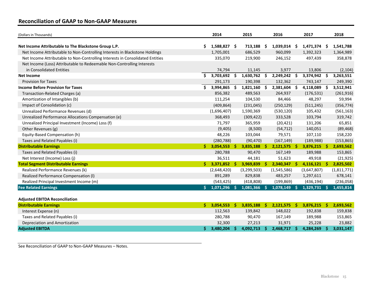### **Reconciliation of GAAP to Non-GAAP Measures**

| (Dollars in Thousands)                                                        |    | 2014           |     | 2015        |          | 2016           |     | 2017           |     | 2018        |
|-------------------------------------------------------------------------------|----|----------------|-----|-------------|----------|----------------|-----|----------------|-----|-------------|
| Net Income Attributable to The Blackstone Group L.P.                          | \$ | $1,588,827$ \$ |     | 713,188     | \$.      | $1,039,014$ \$ |     | $1,471,374$ \$ |     | 1,541,788   |
| Net Income Attributable to Non-Controlling Interests in Blackstone Holdings   |    | 1,705,001      |     | 686,529     |          | 960,099        |     | 1,392,323      |     | 1,364,989   |
| Net Income Attributable to Non-Controlling Interests in Consolidated Entities |    | 335,070        |     | 219,900     |          | 246,152        |     | 497,439        |     | 358,878     |
| Net Income (Loss) Attributable to Redeemable Non-Controlling Interests        |    |                |     |             |          |                |     |                |     |             |
| in Consolidated Entities                                                      |    | 74,794         |     | 11,145      |          | 3,977          |     | 13,806         |     | (2, 104)    |
| <b>Net Income</b>                                                             | Ŝ. | 3,703,692      | \$. | 1,630,762   | \$       | 2,249,242      | \$. | 3,374,942      | \$  | 3,263,551   |
| <b>Provision for Taxes</b>                                                    |    | 291,173        |     | 190,398     |          | 132,362        |     | 743,147        |     | 249,390     |
| <b>Income Before Provision for Taxes</b>                                      | \$ | 3,994,865      | \$  | 1,821,160   | \$       | 2,381,604      | \$  | 4,118,089      | -\$ | 3,512,941   |
| Transaction-Related Charges (a)                                               |    | 856,382        |     | 489,563     |          | 264,937        |     | (176, 531)     |     | (261, 916)  |
| Amortization of Intangibles (b)                                               |    | 111,254        |     | 104,530     |          | 84,466         |     | 48,297         |     | 59,994      |
| Impact of Consolidation (c)                                                   |    | (409, 864)     |     | (231, 045)  |          | (250, 129)     |     | (511, 245)     |     | (356, 774)  |
| Unrealized Performance Revenues (d)                                           |    | (1,696,407)    |     | 1,590,369   |          | (530, 120)     |     | 105,432        |     | (561, 163)  |
| Unrealized Performance Allocations Compensation (e)                           |    | 368,493        |     | (309, 422)  |          | 333,528        |     | 103,794        |     | 319,742     |
| Unrealized Principal Investment (Income) Loss (f)                             |    | 71,797         |     | 365,959     |          | (20, 421)      |     | 131,206        |     | 65,851      |
| Other Revenues (g)                                                            |    | (9,405)        |     | (8,500)     |          | (54, 712)      |     | 140,051        |     | (89, 468)   |
| Equity-Based Compensation (h)                                                 |    | 48,226         |     | 103,044     |          | 79,571         |     | 107,110        |     | 158,220     |
| Taxes and Related Payables (i)                                                |    | (280, 788)     |     | (90, 470)   |          | (167, 149)     |     | (189, 988)     |     | (153, 865)  |
| <b>Distributable Earnings</b>                                                 | Ś. | 3,054,553      | -S  | 3,835,188   | S.       | $2,121,575$ \$ |     | $3,876,215$ \$ |     | 2,693,562   |
| Taxes and Related Payables (i)                                                |    | 280,788        |     | 90,470      |          | 167,149        |     | 189,988        |     | 153,865     |
| Net Interest (Income) Loss (j)                                                |    | 36,511         |     | 44,181      |          | 51,623         |     | 49,918         |     | (21, 925)   |
| <b>Total Segment Distributable Earnings</b>                                   | Ś. | $3,371,852$ \$ |     | 3,969,839   | S.       | 2,340,347      |     | 4,116,121      | -Ŝ  | 2,825,502   |
| Realized Performance Revenues (k)                                             |    | (2,648,420)    |     | (3,299,503) |          | (1,545,586)    |     | (3,647,807)    |     | (1,811,771) |
| Realized Performance Compensation (I)                                         |    | 891,289        |     | 829,838     |          | 483,257        |     | 1,297,611      |     | 678,141     |
| Realized Principal Investment Income (m)                                      |    | (543, 425)     |     | (418, 808)  |          | (199, 869)     |     | (436, 194)     |     | (236,058)   |
| <b>Fee Related Earnings</b>                                                   | \$ | $1,071,296$ \$ |     | 1,081,366   | <b>S</b> | 1,078,149      |     | 1,329,731      | .s  | 1,455,814   |
|                                                                               |    |                |     |             |          |                |     |                |     |             |
| <b>Adjusted EBITDA Reconciliation</b>                                         |    |                |     |             |          |                |     |                |     |             |

| <b>Distributable Earnings</b>  | 3.054.553 | 3.835.188 | 2.121.575 | 3.876.215 | 2.693.562 |
|--------------------------------|-----------|-----------|-----------|-----------|-----------|
| Interest Expense (n)           | 112.563   | 139.842   | 148,022   | 192,838   | 159,838   |
| Taxes and Related Payables (i) | 280.788   | 90.470    | 167.149   | 189,988   | 153,865   |
| Depreciation and Amortization  | 32,300    | 27.213    | 31.971    | 25,228    | 23,882    |
| <b>Adjusted EBITDA</b>         | 3.480.204 | 4.092.713 | 2.468.717 | 4.284.269 | 3.031.147 |

See Reconciliation of GAAP to Non-GAAP Measures – Notes.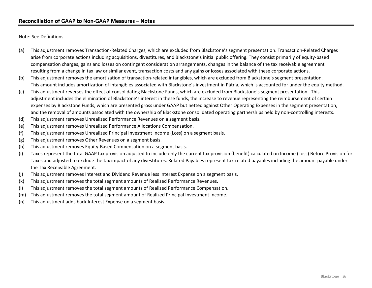Note: See Definitions.

- (a) This adjustment removes Transaction-Related Charges, which are excluded from Blackstone's segment presentation. Transaction-Related Charges arise from corporate actions including acquisitions, divestitures, and Blackstone's initial public offering. They consist primarily of equity-based compensation charges, gains and losses on contingent consideration arrangements, changes in the balance of the tax receivable agreement resulting from a change in tax law or similar event, transaction costs and any gains or losses associated with these corporate actions.
- (b) This adjustment removes the amortization of transaction-related intangibles, which are excluded from Blackstone's segment presentation. This amount includes amortization of intangibles associated with Blackstone's investment in Pátria, which is accounted for under the equity method.
- (c) This adjustment reverses the effect of consolidating Blackstone Funds, which are excluded from Blackstone's segment presentation. This adjustment includes the elimination of Blackstone's interest in these funds, the increase to revenue representing the reimbursement of certain expenses by Blackstone Funds, which are presented gross under GAAP but netted against Other Operating Expenses in the segment presentation, and the removal of amounts associated with the ownership of Blackstone consolidated operating partnerships held by non-controlling interests.
- (d) This adjustment removes Unrealized Performance Revenues on a segment basis.
- (e) This adjustment removes Unrealized Performance Allocations Compensation.
- (f) This adjustment removes Unrealized Principal Investment Income (Loss) on a segment basis.
- (g) This adjustment removes Other Revenues on a segment basis.
- (h) This adjustment removes Equity-Based Compensation on a segment basis.
- (i) Taxes represent the total GAAP tax provision adjusted to include only the current tax provision (benefit) calculated on Income (Loss) Before Provision for Taxes and adjusted to exclude the tax impact of any divestitures. Related Payables represent tax-related payables including the amount payable under the Tax Receivable Agreement.
- (j) This adjustment removes Interest and Dividend Revenue less Interest Expense on a segment basis.
- (k) This adjustment removes the total segment amounts of Realized Performance Revenues.
- (l) This adjustment removes the total segment amounts of Realized Performance Compensation.
- (m) This adjustment removes the total segment amount of Realized Principal Investment Income.
- (n) This adjustment adds back Interest Expense on a segment basis.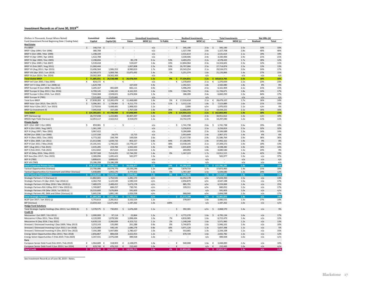#### **Investment Records as of June 30, 2019(a)**

| (Dollars in Thousands, Except Where Noted)                  | Committed                        | <b>Available</b>         |                         |                       | <b>Unrealized Investments</b> |          |                      | <b>Realized Investments</b> |              |                     | <b>Total Investments</b> |              | Net IRRs (d) |           |
|-------------------------------------------------------------|----------------------------------|--------------------------|-------------------------|-----------------------|-------------------------------|----------|----------------------|-----------------------------|--------------|---------------------|--------------------------|--------------|--------------|-----------|
| Fund (Investment Period Beginning Date / Ending Date)       | Capital                          | Capital (b)              |                         | Value                 | MOIC (c)                      | % Public |                      | Value                       | MOIC (c)     |                     | Value                    | MOIC (c)     | Realized     | Total     |
| <b>Real Estate</b>                                          |                                  |                          |                         |                       |                               |          |                      |                             |              |                     |                          |              |              |           |
| Pre-BREP                                                    | $\mathsf{\hat{S}}$<br>140,714 \$ |                          | $\ddot{\phantom{1}}$    |                       | n/a                           |          | $\ddot{\phantom{0}}$ | 345,190                     | 2.5x         | $\zeta$             | 345,190                  | 2.5x         | 33%          | 33%       |
| BREP I (Sep 1994 / Oct 1996)                                | 380,708                          |                          |                         |                       | n/a                           |          |                      | 1,327,708                   | 2.8x         |                     | 1,327,708                | 2.8x         | 40%          | 40%       |
| BREP II (Oct 1996 / Mar 1999)                               | 1,198,339                        |                          |                         |                       | n/a                           |          |                      | 2,531,614                   | 2.1x         |                     | 2,531,614                | 2.1x         | 19%          | 19%       |
| BREP III (Apr 1999 / Apr 2003)                              | 1,522,708                        | $\sim$                   |                         |                       | n/a                           |          |                      | 3,330,406                   | 2.4x         |                     | 3,330,406                | 2.4x         | 21%          | 21%       |
| BREP IV (Apr 2003 / Dec 2005)                               | 2,198,694                        |                          |                         | 85,178                | 0.1x                          | 53%      |                      | 4,493,255                   | 2.2x         |                     | 4,578,433                | 1.7x         | 28%          | 12%       |
| BREP V (Dec 2005 / Feb 2007)                                | 5,539,418                        |                          |                         | 519,637               | 1.6x                          | 33%      |                      | 12,804,964                  | 2.3x         |                     | 13,324,601               | 2.3x         | 12%          | 11%       |
| BREP VI (Feb 2007 / Aug 2011)                               | 11,060,444                       |                          |                         | 1,007,808             | 2.5x                          | 53%      |                      | 26,707,066                  | 2.5x         |                     | 27,714,874               | 2.5x         | 13%          | 13%       |
| BREP VII (Aug 2011 / Apr 2015)                              | 13,496,564                       | 1,906,353                |                         | 8,990,819             | 1.7x                          | 16%      |                      | 20,543,254                  | 2.1x         |                     | 29,534,073               | 2.0x         | 24%          | 17%       |
| BREP VIII (Apr 2015 / Jun 2019)                             | 16,585,073                       | 5,069,766                |                         | 15,875,492            | 1.4x                          | 1%       |                      | 5,251,374                   | 1.6x         |                     | 21,126,866               | 1.4x         | 27%          | 15%       |
| BREP IX (Jun 2019 / Dec 2024)                               | 19,562,369                       | 19,562,369               |                         |                       | n/a                           |          |                      |                             | n/a          |                     |                          | n/a          | n/a          | n/a       |
| <b>Total Global BREP</b>                                    |                                  | 71,685,031 \$ 26,538,488 |                         | \$26,478,934          | 1.5x                          | 9%       | ÷\$.                 | 77,334,831                  | 2.2x         |                     | \$103,813,765            | 2.0x         | 18%          | 16%       |
| BREP Int'l (Jan 2001 / Sep 2005)                            | €<br>824,172 €                   |                          | $\boldsymbol{\epsilon}$ |                       | n/a                           | $\sim$   | €                    | 1,370,659                   | 2.1x         | €                   | 1,370,659                | 2.1x         | 23%          | 23%       |
| BREP Int'l II (Sep 2005 / Jun 2008) (e)                     | 1,629,748                        |                          |                         | 167,659               | 4.4x                          |          |                      | 2,392,421                   | 1.8x         |                     | 2,560,080                | 1.8x         | 8%           | 8%        |
| BREP Europe III (Jun 2008 / Sep 2013)                       | 3,205,167                        | 465,609                  |                         | 665,111               | 0.9x                          |          |                      | 5,496,293                   | 2.5x         |                     | 6,161,404                | 2.1x         | 21%          | 15%       |
| BREP Europe IV (Sep 2013 / Dec 2016)                        | 6,709,145                        | 1,346,165                |                         | 4,161,915             | 1.6x                          | 13%      |                      | 7,564,756                   | 2.0x         |                     | 11,726,671               | 1.8x         | 24%          | 17%       |
| BREP Europe V (Dec 2016 / Jun 2022)                         | 7,944,368                        | 2,928,021                |                         | 6,474,004             | 1.3x                          |          |                      | 186,289                     | 2.4x         |                     | 6,660,293                | 1.3x         | 64%          | 17%       |
| BREP Europe VI (TBD)                                        | 7,525,683                        | 7,525,681                |                         |                       | n/a                           |          |                      |                             | n/a          |                     |                          | n/a          | n/a          | n/a       |
| <b>Total Euro BREP</b>                                      | €<br>27,838,283                  | 12,265,476<br>€          | €                       | 11,468,689            | 1.4x                          | 5%       | €                    | 17,010,418                  | 2.1x         | €                   | 28,479,107               | 1.7x         | 16%          | 14%       |
| BREP Asia I (Jun 2013 / Dec 2017)                           | 5,096,361                        | Ś<br>1,728,965           | Ŝ.                      | 4,211,773             | 1.5x                          | 11%      | <sup>\$</sup>        | 3,312,116                   | 1.8x         | Ŝ.                  | 7,523,889                | 1.6x         | 21%          | 15%       |
| BREP Asia II (Dec 2017 / Jun 2023)                          | 7,179,916                        | 5,408,481                |                         | 1,968,923             | 1.1x                          |          |                      | 2,000                       | n/m          |                     | 1,970,923                | 1.1x         | n/m          | 4%        |
| BREP Co-Investment (f)                                      | 7,045,918                        | 157,335                  |                         | 1,767,526             | 1.9x                          | 26%      |                      | 12,666,695                  | 2.1x         |                     | 14,434,221               | 2.1x         | 16%          | 16%       |
| <b>Total BREP</b>                                           | \$124,393,601                    | 47,740,949               | \$                      | 47,848,849            | 1.4x                          | 12%      | s                    | 114,954,153                 | 2.2x         |                     | 162,803,002              | 1.9x         | 18%          | 15%       |
| BPP (Various) (g)                                           | 26,737,038                       | 1,222,865                |                         | 30,407,207            | 1.2x                          |          |                      | 4,504,405                   | 2.3x         |                     | 34,911,612               | 1.3x         | n/m          | 10%       |
| BREDS High-Yield (Various) (h)                              | 12,053,117                       | 2,422,012                |                         | 3,554,670             | 1.1x                          | $\sim$   |                      | 10,742,370                  | 1.3x         |                     | 14,297,040               | 1.2x         | 11%          | 11%       |
| <b>Private Equity</b>                                       |                                  |                          |                         |                       |                               |          |                      |                             |              |                     |                          |              |              |           |
| BCP I (Oct 1987 / Oct 1993)                                 | 859,081 \$<br>\$                 |                          | \$                      |                       | n/a                           |          | \$                   | 1,741,738                   | 2.6x         | \$                  | 1,741,738                | 2.6x         | 19%          | 19%       |
| BCP II (Oct 1993 / Aug 1997)                                | 1,361,100                        |                          |                         |                       | n/a                           |          |                      | 3,256,819                   | 2.5x         |                     | 3,256,819                | 2.5x         | 32%          | 32%       |
| BCP III (Aug 1997 / Nov 2002)                               | 3,967,422                        |                          |                         |                       | n/a                           | $\sim$   |                      | 9,184,688                   | 2.3x         |                     | 9,184,688                | 2.3x         | 14%          | 14%       |
| BCOM (Jun 2000 / Jun 2006)                                  | 2,137,330                        | 24,575<br>204,794        |                         | 13,723<br>169,034     | n/a                           |          |                      | 2,953,649                   | 1.4x<br>2.9x |                     | 2,967,372                | 1.4x<br>2.9x | 6%<br>36%    | 6%<br>36% |
| BCP IV (Nov 2002 / Dec 2005)                                | 6,773,182                        |                          |                         |                       | 2.6x                          | 44%      |                      | 21,417,730                  |              |                     | 21,586,764               |              |              |           |
| BCP V (Dec 2005 / Jan 2011)<br>BCP VI (Jan 2011 / May 2016) | 21,013,586<br>15,191,541         | 1,039,733<br>1,740,222   |                         | 803,327<br>13,779,127 | 0.8x<br>1.7x                  | 38%      |                      | 37,188,995<br>13,530,145    | 1.9x<br>2.1x |                     | 37,992,322<br>27,309,272 | 1.9x<br>1.9x | 9%<br>19%    | 8%<br>13% |
| BEP I (Aug 2011 / Feb 2015)                                 | 2,435,285                        | 224,784                  |                         | 1,942,443             | 1.9x                          | 58%      |                      | 2,655,839                   | 1.9x         |                     | 4,598,282                | 1.9x         | 16%          | 14%       |
| BEP II (Feb 2015 / Feb 2021)                                | 4,912,842                        | 857,610                  |                         | 4,410,554             | 1.3x                          |          |                      | 269,992                     | 1.8x         |                     | 4,680,546                | 1.3x         | 24%          | 9%        |
| BCP VII (May 2016 / May 2022)                               | 18,787,568                       | 7,414,455                |                         | 12,744,292            | 1.4x                          | 0%       |                      | 1,167,223                   | 1.7x         |                     | 13,911,515               | 1.4x         | 42%          | 19%       |
| BCP Asia (Dec 2017 / Dec 2023)                              | 2,389,096                        | 1,495,423                |                         | 565,977               | 1.3x                          |          |                      |                             | n/a          |                     | 565,977                  | 1.3x         | n/a          | 37%       |
| BEP III (TBD)                                               | 3,808,631                        | 3,808,631                |                         |                       | n/a                           |          |                      |                             | n/a          |                     |                          | n/a          | n/a          | n/a       |
| <b>BCP VIII (TBD)</b>                                       | 23,186,208                       | 23,186,208               |                         |                       | n/a                           |          |                      |                             | n/a          |                     |                          | n/a          | n/a          | n/a       |
| <b>Total Corporate Private Equity</b>                       | 106,822,872                      | 39,996,435               |                         | 34,428,477            | 1.5x                          | 19%      |                      | 93,366,818                  | 2.1x         |                     | 127,795,295              | 1.9x         | 16%          | 15%       |
| <b>Tactical Opportunities (Various)</b>                     | 23,700,086                       | 10,574,775               |                         | 10,193,246            | 1.2x                          | 10%      |                      | 7,679,719                   | 1.7x         |                     | 17,872,965               | 1.4x         | 21%          | 10%       |
| Tactical Opportunities Co-Investment and Other (Various)    | 5,938,806                        | 1,955,170                |                         | 3,777,453             | 1.2x                          | 5%       |                      | 1,767,187                   | 1.5x         |                     | 5,544,640                | 1.3x         | 24%          | 12%       |
| <b>Total Tactical Opportunities</b>                         | 29,638,892                       | 12,529,945               |                         | 13,970,699            | 1.2x                          | 9%       |                      | 9,446,906                   | 1.7x         |                     | 23,417,605               | 1.4x         | 21%          | 11%       |
| Strategic Partners I-V (Various) (i)                        | 11,862,601                       | 1,752,541                |                         | 1,281,172             | n/m                           |          |                      | 16,352,178                  | n/m          |                     | 17,633,350               | 1.5x         | n/a          | 13%       |
| Strategic Partners VI (Apr 2014 / Apr 2016) (i)             | 4,362,750                        | 1,123,539                |                         | 1,590,319             | n/m                           |          |                      | 2,956,879                   | n/m          |                     | 4,547,198                | 1.5x         | n/a          | 17%       |
| Strategic Partners VII (May 2016 / Mar 2019) (i)            | 7,489,970                        | 2,489,452                |                         | 5,673,278             | n/m                           |          |                      | 885,791                     | n/m          |                     | 6,559,069                | 1.4x         | n/a          | 25%       |
| Strategic Partners RA II (May 2017 / Mar 2022) (i)          | 1,749,807                        | 684,257                  |                         | 730,741               | n/m                           |          |                      | 109,311                     | n/m          |                     | 840,052                  | 1.2x         | n/a          | 17%       |
| Strategic Partners VIII (Mar 2019 / Jul 2023) (i)           | 10,533,600                       | 7,676,804                |                         | 591,603               | n/m                           |          |                      |                             | n/a          |                     | 591,603                  | 1.0x         | n/a          | n/m       |
| Strategic Partners RE, SMA and Other (Various) (i)          | 5,665,536                        | 1,881,140                |                         | 1,926,558             | n/m                           | $\sim$   |                      | 968,040                     | n/m          |                     | 2,894,598                | 1.3x         | n/a          | 17%       |
| <b>Total Strategic Partners</b>                             | 41,664,264                       | 15,607,733               |                         | 11,793,671            | n/m                           |          |                      | 21,272,199                  | n/m          |                     | 33,065,870               | 1.4x         | n/a          | 14%       |
| BCEP (Jan 2017 / Jan 2021) (j)                              | 4,755,613                        | 2,281,812                |                         | 3,102,524             | 1.2x                          | $\sim$   |                      | 378,007                     | 1.6x         |                     | 3,480,531                | 1.3x         | 27%          | 14%       |
| <b>BIP</b> (Various)                                        | 13,659,163                       | 12,471,902               |                         | 1,187,262             | 1.0x                          | 100%     |                      |                             | n/a          |                     | 1,187,262                | 1.0x         | n/a          | n/m       |
| <b>Hedge Fund Solutions</b>                                 |                                  |                          |                         |                       |                               |          |                      |                             |              |                     |                          |              |              |           |
| Total Strategic Capital Holdings (Dec 2013 / Jun 2020) (k)  | $$3,378,575$ \$                  | 730,855                  | \$                      | 1,676,269             | 1.1x                          |          | \$                   | 392,301                     | n/m          | $\ddot{\mathbf{S}}$ | 2,068,570                | 1.4x         | n/a          | 9%        |
| Credit (I)                                                  |                                  |                          |                         |                       |                               |          |                      |                             |              |                     |                          |              |              |           |
| Mezzanine I (Jul 2007 / Oct 2011)                           | 2,000,000                        | 97,114                   | Ŝ.                      | 22,864                | 1.2x                          |          | \$                   | 4,772,270                   | 1.6x         |                     | 4,795,134                | 1.6x         | n/a          | 17%       |
| Mezzanine II (Nov 2011 / Nov 2016)                          | 4,120,000                        | 1,078,506                |                         | 1,898,494             | 1.0x                          | 7%       |                      | 4,816,985                   | 1.6x         |                     | 6,715,479                | 1.4x         | n/a          | 12%       |
| Mezzanine III (Sep 2016 / Sep 2021)                         | 6,639,133                        | 2,260,839                |                         | 4,323,712             | 1.1x                          | 2%       |                      | 1,248,248                   | 1.6x         |                     | 5,571,960                | 1.2x         | n/a          | 13%       |
| Stressed / Distressed Investing I (Sep 2009 / May 2013)     | 3,253,143                        | 135,000                  |                         | 201,288               | 0.4x                          | 0%       |                      | 5,744,873                   | 1.6x         |                     | 5,946,161                | 1.4x         | n/a          | 10%       |
| Stressed / Distressed Investing II (Jun 2013 / Jun 2018)    | 5,125,000                        | 540,145                  |                         | 1,686,278             | 0.8x                          | 18%      |                      | 3,971,120                   | 1.3x         |                     | 5,657,398                | 1.1x         | n/a          | 5%        |
| Stressed / Distressed Investing III (Dec 2017/ Dec 2022)    | 7,356,380                        | 5,447,806                |                         | 1,780,427             | 1.0x                          | 2%       |                      | 553,681                     | 1.3x         |                     | 2,334,108                | 1.1x         | n/a          | 15%       |
| Energy Select Opportunities (Nov 2015 / Nov 2018)           | 2,856,867                        | 884,658                  |                         | 2,022,053             | 1.2x                          |          |                      | 670,729                     | 1.6x         |                     | 2,692,782                | 1.3x         | n/a          | 12%       |
| Energy Select Opportunities II (Feb 2019 / Feb 2024)        | 3,347,431                        | 2,976,038                |                         | 489,928               | 1.0x                          |          |                      |                             | n/a          |                     | 489,928                  | 1.0x         | n/a          | n/m       |
| Euro                                                        |                                  |                          |                         |                       |                               |          |                      |                             |              |                     |                          |              |              |           |
| European Senior Debt Fund (Feb 2015 / Feb 2019)             | 1,964,689 €<br>€                 | 318,903                  | €                       | 2,108,075             | 1.0x                          |          | €                    | 940,008                     | 1.6x         | €                   | 3,048,083                | 1.2x         | n/a          | 10%       |
| European Senior Debt Fund II (Jun 2019 / Jun 2024)          | 629,740                          | 476,310<br>€             | €                       | 152,443               | 1.0x                          |          | €                    |                             | n/a          | €                   | 152,443                  | 1.0x         | n/a          | n/m       |
| <b>Total Credit</b>                                         | \$ 37,678,960 \$ 14,325,694      |                          |                         | \$14.999.276          | 1.0x                          | 4%       | S.                   | 22.853.291                  | 1.5x         |                     | \$37,852,567             | 1.3x         | n/a          | 12%       |

See Investment Records as of June 30, 2019 – Notes.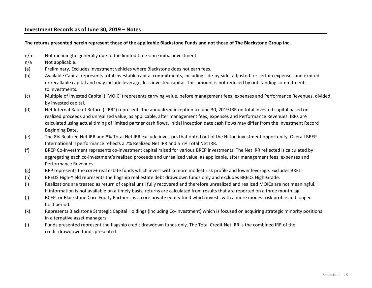### **Investment Records as of June 30, 2019 – Notes**

**The returns presented herein represent those of the applicable Blackstone Funds and not those of The Blackstone Group Inc.**

- n/m Not meaningful generally due to the limited time since initial investment.
- n/a Not applicable.
- (a) Preliminary. Excludes investment vehicles where Blackstone does not earn fees.
- (b) Available Capital represents total investable capital commitments, including side-by-side, adjusted for certain expenses and expired or recallable capital and may include leverage, less invested capital. This amount is not reduced by outstanding commitments to investments.
- (c) Multiple of Invested Capital ("MOIC") represents carrying value, before management fees, expenses and Performance Revenues, divided by invested capital.
- (d) Net Internal Rate of Return ("IRR") represents the annualized inception to June 30, 2019 IRR on total invested capital based on realized proceeds and unrealized value, as applicable, after management fees, expenses and Performance Revenues. IRRs are calculated using actual timing of limited partner cash flows. Initial inception date cash flows may differ from the Investment Record Beginning Date.
- (e) The 8% Realized Net IRR and 8% Total Net IRR exclude investors that opted out of the Hilton investment opportunity. Overall BREP International II performance reflects a 7% Realized Net IRR and a 7% Total Net IRR.
- (f) BREP Co-Investment represents co-investment capital raised for various BREP investments. The Net IRR reflected is calculated by aggregating each co-investment's realized proceeds and unrealized value, as applicable, after management fees, expenses and Performance Revenues.
- (g) BPP represents the core+ real estate funds which invest with a more modest risk profile and lower leverage. Excludes BREIT.
- (h) BREDS High-Yield represents the flagship real estate debt drawdown funds only and excludes BREDS High-Grade.
- (i) Realizations are treated as return of capital until fully recovered and therefore unrealized and realized MOICs are not meaningful. If information is not available on a timely basis, returns are calculated from results that are reported on a three month lag.
- (j) BCEP, or Blackstone Core Equity Partners, is a core private equity fund which invests with a more modest risk profile and longer hold period.
- (k) Represents Blackstone Strategic Capital Holdings (including Co-investment) which is focused on acquiring strategic minority positions in alternative asset managers.
- (l) Funds presented represent the flagship credit drawdown funds only. The Total Credit Net IRR is the combined IRR of the credit drawdown funds presented.